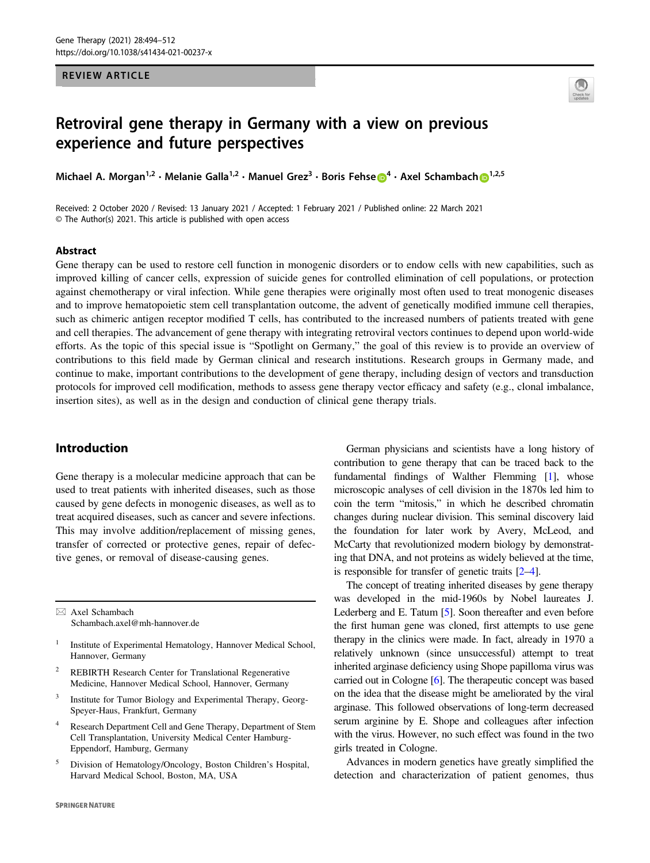# REVIEW ARTICLE



# Retroviral gene therapy in Germany with a view on previous experience and future perspectives

Michael A. Morgan / • Melanie Galla / • Manuel Grez • Boris Fense <mark>O</mark> • Axel Schambach <mark>O</mark> / <sup>77</sup>

Received: 2 October 2020 / Revised: 13 January 2021 / Accepted: 1 February 2021 / Published online: 22 March 2021 © The Author(s) 2021. This article is published with open access

#### Abstract

Gene therapy can be used to restore cell function in monogenic disorders or to endow cells with new capabilities, such as improved killing of cancer cells, expression of suicide genes for controlled elimination of cell populations, or protection against chemotherapy or viral infection. While gene therapies were originally most often used to treat monogenic diseases and to improve hematopoietic stem cell transplantation outcome, the advent of genetically modified immune cell therapies, such as chimeric antigen receptor modified T cells, has contributed to the increased numbers of patients treated with gene and cell therapies. The advancement of gene therapy with integrating retroviral vectors continues to depend upon world-wide efforts. As the topic of this special issue is "Spotlight on Germany," the goal of this review is to provide an overview of contributions to this field made by German clinical and research institutions. Research groups in Germany made, and continue to make, important contributions to the development of gene therapy, including design of vectors and transduction protocols for improved cell modification, methods to assess gene therapy vector efficacy and safety (e.g., clonal imbalance, insertion sites), as well as in the design and conduction of clinical gene therapy trials.

# Introduction

Gene therapy is a molecular medicine approach that can be used to treat patients with inherited diseases, such as those caused by gene defects in monogenic diseases, as well as to treat acquired diseases, such as cancer and severe infections. This may involve addition/replacement of missing genes, transfer of corrected or protective genes, repair of defective genes, or removal of disease-causing genes.

 $\boxtimes$  Axel Schambach [Schambach.axel@mh-hannover.de](mailto:Schambach.axel@mh-hannover.de)

- <sup>1</sup> Institute of Experimental Hematology, Hannover Medical School, Hannover, Germany
- <sup>2</sup> REBIRTH Research Center for Translational Regenerative Medicine, Hannover Medical School, Hannover, Germany
- <sup>3</sup> Institute for Tumor Biology and Experimental Therapy, Georg-Speyer-Haus, Frankfurt, Germany
- <sup>4</sup> Research Department Cell and Gene Therapy, Department of Stem Cell Transplantation, University Medical Center Hamburg-Eppendorf, Hamburg, Germany
- <sup>5</sup> Division of Hematology/Oncology, Boston Children's Hospital, Harvard Medical School, Boston, MA, USA

German physicians and scientists have a long history of contribution to gene therapy that can be traced back to the fundamental findings of Walther Flemming [\[1\]](#page-13-0), whose microscopic analyses of cell division in the 1870s led him to coin the term "mitosis," in which he described chromatin changes during nuclear division. This seminal discovery laid the foundation for later work by Avery, McLeod, and McCarty that revolutionized modern biology by demonstrating that DNA, and not proteins as widely believed at the time, is responsible for transfer of genetic traits [[2](#page-13-0)–[4](#page-13-0)].

The concept of treating inherited diseases by gene therapy was developed in the mid-1960s by Nobel laureates J. Lederberg and E. Tatum [\[5\]](#page-13-0). Soon thereafter and even before the first human gene was cloned, first attempts to use gene therapy in the clinics were made. In fact, already in 1970 a relatively unknown (since unsuccessful) attempt to treat inherited arginase deficiency using Shope papilloma virus was carried out in Cologne [[6\]](#page-13-0). The therapeutic concept was based on the idea that the disease might be ameliorated by the viral arginase. This followed observations of long-term decreased serum arginine by E. Shope and colleagues after infection with the virus. However, no such effect was found in the two girls treated in Cologne.

Advances in modern genetics have greatly simplified the detection and characterization of patient genomes, thus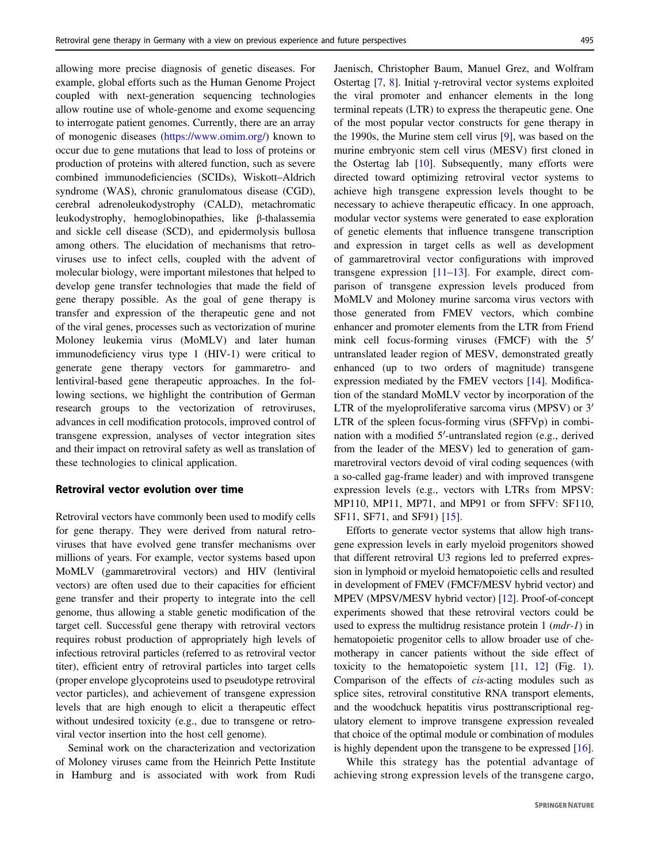allowing more precise diagnosis of genetic diseases. For example, global efforts such as the Human Genome Project coupled with next-generation sequencing technologies allow routine use of whole-genome and exome sequencing to interrogate patient genomes. Currently, there are an array of monogenic diseases [\(https://www.omim.org/](https://www.omim.org/)) known to occur due to gene mutations that lead to loss of proteins or production of proteins with altered function, such as severe combined immunodeficiencies (SCIDs), Wiskott–Aldrich syndrome (WAS), chronic granulomatous disease (CGD), cerebral adrenoleukodystrophy (CALD), metachromatic leukodystrophy, hemoglobinopathies, like β-thalassemia and sickle cell disease (SCD), and epidermolysis bullosa among others. The elucidation of mechanisms that retroviruses use to infect cells, coupled with the advent of molecular biology, were important milestones that helped to develop gene transfer technologies that made the field of gene therapy possible. As the goal of gene therapy is transfer and expression of the therapeutic gene and not of the viral genes, processes such as vectorization of murine Moloney leukemia virus (MoMLV) and later human immunodeficiency virus type 1 (HIV-1) were critical to generate gene therapy vectors for gammaretro- and lentiviral-based gene therapeutic approaches. In the following sections, we highlight the contribution of German research groups to the vectorization of retroviruses, advances in cell modification protocols, improved control of transgene expression, analyses of vector integration sites and their impact on retroviral safety as well as translation of these technologies to clinical application.

## Retroviral vector evolution over time

Retroviral vectors have commonly been used to modify cells for gene therapy. They were derived from natural retroviruses that have evolved gene transfer mechanisms over millions of years. For example, vector systems based upon MoMLV (gammaretroviral vectors) and HIV (lentiviral vectors) are often used due to their capacities for efficient gene transfer and their property to integrate into the cell genome, thus allowing a stable genetic modification of the target cell. Successful gene therapy with retroviral vectors requires robust production of appropriately high levels of infectious retroviral particles (referred to as retroviral vector titer), efficient entry of retroviral particles into target cells (proper envelope glycoproteins used to pseudotype retroviral vector particles), and achievement of transgene expression levels that are high enough to elicit a therapeutic effect without undesired toxicity (e.g., due to transgene or retroviral vector insertion into the host cell genome).

Seminal work on the characterization and vectorization of Moloney viruses came from the Heinrich Pette Institute in Hamburg and is associated with work from Rudi Jaenisch, Christopher Baum, Manuel Grez, and Wolfram Ostertag [[7,](#page-13-0) [8\]](#page-13-0). Initial γ-retroviral vector systems exploited the viral promoter and enhancer elements in the long terminal repeats (LTR) to express the therapeutic gene. One of the most popular vector constructs for gene therapy in the 1990s, the Murine stem cell virus [[9\]](#page-13-0), was based on the murine embryonic stem cell virus (MESV) first cloned in the Ostertag lab [[10\]](#page-13-0). Subsequently, many efforts were directed toward optimizing retroviral vector systems to achieve high transgene expression levels thought to be necessary to achieve therapeutic efficacy. In one approach, modular vector systems were generated to ease exploration of genetic elements that influence transgene transcription and expression in target cells as well as development of gammaretroviral vector configurations with improved transgene expression [\[11](#page-13-0)–[13](#page-13-0)]. For example, direct comparison of transgene expression levels produced from MoMLV and Moloney murine sarcoma virus vectors with those generated from FMEV vectors, which combine enhancer and promoter elements from the LTR from Friend mink cell focus-forming viruses (FMCF) with the 5′ untranslated leader region of MESV, demonstrated greatly enhanced (up to two orders of magnitude) transgene expression mediated by the FMEV vectors [\[14](#page-13-0)]. Modification of the standard MoMLV vector by incorporation of the LTR of the myeloproliferative sarcoma virus (MPSV) or 3<sup>'</sup> LTR of the spleen focus-forming virus (SFFVp) in combination with a modified 5′-untranslated region (e.g., derived from the leader of the MESV) led to generation of gammaretroviral vectors devoid of viral coding sequences (with a so-called gag-frame leader) and with improved transgene expression levels (e.g., vectors with LTRs from MPSV: MP110, MP11, MP71, and MP91 or from SFFV: SF110, SF11, SF71, and SF91) [\[15](#page-13-0)].

Efforts to generate vector systems that allow high transgene expression levels in early myeloid progenitors showed that different retroviral U3 regions led to preferred expression in lymphoid or myeloid hematopoietic cells and resulted in development of FMEV (FMCF/MESV hybrid vector) and MPEV (MPSV/MESV hybrid vector) [[12\]](#page-13-0). Proof-of-concept experiments showed that these retroviral vectors could be used to express the multidrug resistance protein 1 (mdr-1) in hematopoietic progenitor cells to allow broader use of chemotherapy in cancer patients without the side effect of toxicity to the hematopoietic system [\[11](#page-13-0), [12\]](#page-13-0) (Fig. [1\)](#page-2-0). Comparison of the effects of cis-acting modules such as splice sites, retroviral constitutive RNA transport elements, and the woodchuck hepatitis virus posttranscriptional regulatory element to improve transgene expression revealed that choice of the optimal module or combination of modules is highly dependent upon the transgene to be expressed [[16\]](#page-13-0).

While this strategy has the potential advantage of achieving strong expression levels of the transgene cargo,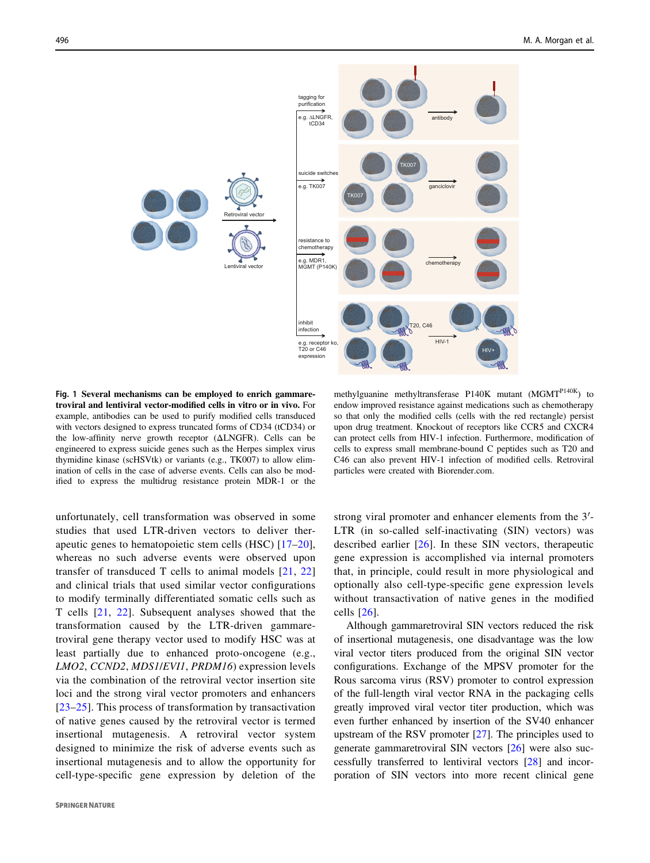<span id="page-2-0"></span>

Fig. 1 Several mechanisms can be employed to enrich gammaretroviral and lentiviral vector-modified cells in vitro or in vivo. For example, antibodies can be used to purify modified cells transduced with vectors designed to express truncated forms of CD34 (tCD34) or the low-affinity nerve growth receptor (ΔLNGFR). Cells can be engineered to express suicide genes such as the Herpes simplex virus thymidine kinase (scHSVtk) or variants (e.g., TK007) to allow elimination of cells in the case of adverse events. Cells can also be modified to express the multidrug resistance protein MDR-1 or the

methylguanine methyltransferase P140K mutant  $(MGMT<sup>P140K</sup>)$  to endow improved resistance against medications such as chemotherapy so that only the modified cells (cells with the red rectangle) persist upon drug treatment. Knockout of receptors like CCR5 and CXCR4 can protect cells from HIV-1 infection. Furthermore, modification of cells to express small membrane-bound C peptides such as T20 and C46 can also prevent HIV-1 infection of modified cells. Retroviral particles were created with Biorender.com.

unfortunately, cell transformation was observed in some studies that used LTR-driven vectors to deliver therapeutic genes to hematopoietic stem cells (HSC) [[17](#page-13-0)–[20](#page-13-0)], whereas no such adverse events were observed upon transfer of transduced T cells to animal models [[21](#page-13-0), [22\]](#page-13-0) and clinical trials that used similar vector configurations to modify terminally differentiated somatic cells such as T cells [\[21](#page-13-0), [22](#page-13-0)]. Subsequent analyses showed that the transformation caused by the LTR-driven gammaretroviral gene therapy vector used to modify HSC was at least partially due to enhanced proto-oncogene (e.g., LMO2, CCND2, MDS1/EVI1, PRDM16) expression levels via the combination of the retroviral vector insertion site loci and the strong viral vector promoters and enhancers [\[23](#page-13-0)–[25](#page-13-0)]. This process of transformation by transactivation of native genes caused by the retroviral vector is termed insertional mutagenesis. A retroviral vector system designed to minimize the risk of adverse events such as insertional mutagenesis and to allow the opportunity for cell-type-specific gene expression by deletion of the strong viral promoter and enhancer elements from the 3′- LTR (in so-called self-inactivating (SIN) vectors) was described earlier [\[26\]](#page-13-0). In these SIN vectors, therapeutic gene expression is accomplished via internal promoters that, in principle, could result in more physiological and optionally also cell-type-specific gene expression levels without transactivation of native genes in the modified cells [[26\]](#page-13-0).

Although gammaretroviral SIN vectors reduced the risk of insertional mutagenesis, one disadvantage was the low viral vector titers produced from the original SIN vector configurations. Exchange of the MPSV promoter for the Rous sarcoma virus (RSV) promoter to control expression of the full-length viral vector RNA in the packaging cells greatly improved viral vector titer production, which was even further enhanced by insertion of the SV40 enhancer upstream of the RSV promoter [\[27](#page-13-0)]. The principles used to generate gammaretroviral SIN vectors [\[26](#page-13-0)] were also successfully transferred to lentiviral vectors [\[28](#page-14-0)] and incorporation of SIN vectors into more recent clinical gene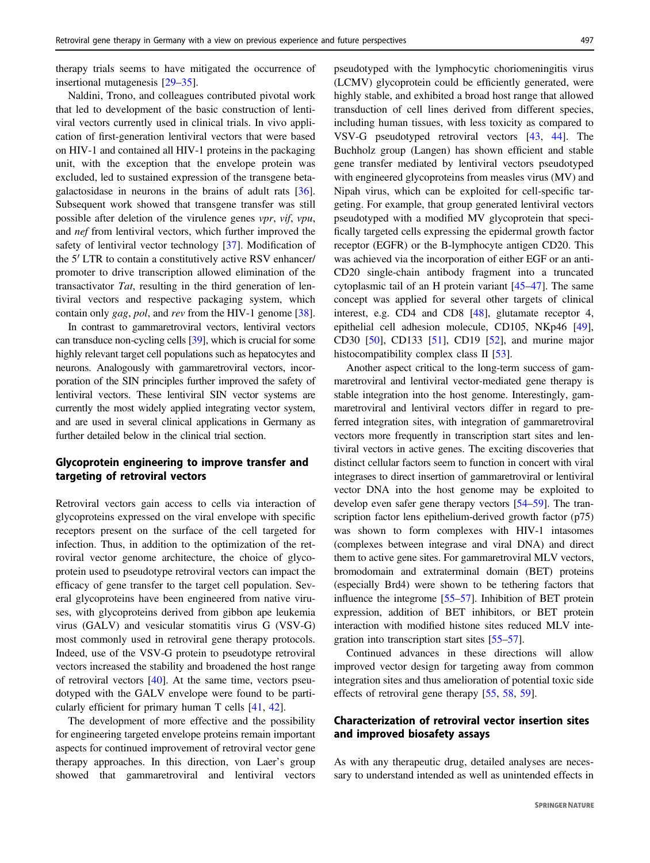therapy trials seems to have mitigated the occurrence of insertional mutagenesis [\[29](#page-14-0)–[35](#page-14-0)].

Naldini, Trono, and colleagues contributed pivotal work that led to development of the basic construction of lentiviral vectors currently used in clinical trials. In vivo application of first-generation lentiviral vectors that were based on HIV-1 and contained all HIV-1 proteins in the packaging unit, with the exception that the envelope protein was excluded, led to sustained expression of the transgene betagalactosidase in neurons in the brains of adult rats [\[36](#page-14-0)]. Subsequent work showed that transgene transfer was still possible after deletion of the virulence genes vpr, vif, vpu, and nef from lentiviral vectors, which further improved the safety of lentiviral vector technology [\[37](#page-14-0)]. Modification of the 5′ LTR to contain a constitutively active RSV enhancer/ promoter to drive transcription allowed elimination of the transactivator Tat, resulting in the third generation of lentiviral vectors and respective packaging system, which contain only gag, pol, and rev from the HIV-1 genome [\[38](#page-14-0)].

In contrast to gammaretroviral vectors, lentiviral vectors can transduce non-cycling cells [[39](#page-14-0)], which is crucial for some highly relevant target cell populations such as hepatocytes and neurons. Analogously with gammaretroviral vectors, incorporation of the SIN principles further improved the safety of lentiviral vectors. These lentiviral SIN vector systems are currently the most widely applied integrating vector system, and are used in several clinical applications in Germany as further detailed below in the clinical trial section.

# Glycoprotein engineering to improve transfer and targeting of retroviral vectors

Retroviral vectors gain access to cells via interaction of glycoproteins expressed on the viral envelope with specific receptors present on the surface of the cell targeted for infection. Thus, in addition to the optimization of the retroviral vector genome architecture, the choice of glycoprotein used to pseudotype retroviral vectors can impact the efficacy of gene transfer to the target cell population. Several glycoproteins have been engineered from native viruses, with glycoproteins derived from gibbon ape leukemia virus (GALV) and vesicular stomatitis virus G (VSV-G) most commonly used in retroviral gene therapy protocols. Indeed, use of the VSV-G protein to pseudotype retroviral vectors increased the stability and broadened the host range of retroviral vectors [[40\]](#page-14-0). At the same time, vectors pseudotyped with the GALV envelope were found to be particularly efficient for primary human T cells [[41,](#page-14-0) [42\]](#page-14-0).

The development of more effective and the possibility for engineering targeted envelope proteins remain important aspects for continued improvement of retroviral vector gene therapy approaches. In this direction, von Laer's group showed that gammaretroviral and lentiviral vectors pseudotyped with the lymphocytic choriomeningitis virus (LCMV) glycoprotein could be efficiently generated, were highly stable, and exhibited a broad host range that allowed transduction of cell lines derived from different species, including human tissues, with less toxicity as compared to VSV-G pseudotyped retroviral vectors [\[43](#page-14-0), [44\]](#page-14-0). The Buchholz group (Langen) has shown efficient and stable gene transfer mediated by lentiviral vectors pseudotyped with engineered glycoproteins from measles virus (MV) and Nipah virus, which can be exploited for cell-specific targeting. For example, that group generated lentiviral vectors pseudotyped with a modified MV glycoprotein that specifically targeted cells expressing the epidermal growth factor receptor (EGFR) or the B-lymphocyte antigen CD20. This was achieved via the incorporation of either EGF or an anti-CD20 single-chain antibody fragment into a truncated cytoplasmic tail of an H protein variant [[45](#page-14-0)–[47\]](#page-14-0). The same concept was applied for several other targets of clinical interest, e.g. CD4 and CD8 [[48\]](#page-14-0), glutamate receptor 4, epithelial cell adhesion molecule, CD105, NKp46 [[49\]](#page-14-0), CD30 [\[50](#page-14-0)], CD133 [[51\]](#page-14-0), CD19 [\[52](#page-14-0)], and murine major histocompatibility complex class II [\[53](#page-14-0)].

Another aspect critical to the long-term success of gammaretroviral and lentiviral vector-mediated gene therapy is stable integration into the host genome. Interestingly, gammaretroviral and lentiviral vectors differ in regard to preferred integration sites, with integration of gammaretroviral vectors more frequently in transcription start sites and lentiviral vectors in active genes. The exciting discoveries that distinct cellular factors seem to function in concert with viral integrases to direct insertion of gammaretroviral or lentiviral vector DNA into the host genome may be exploited to develop even safer gene therapy vectors [[54](#page-14-0)–[59](#page-14-0)]. The transcription factor lens epithelium-derived growth factor (p75) was shown to form complexes with HIV-1 intasomes (complexes between integrase and viral DNA) and direct them to active gene sites. For gammaretroviral MLV vectors, bromodomain and extraterminal domain (BET) proteins (especially Brd4) were shown to be tethering factors that influence the integrome [\[55](#page-14-0)–[57\]](#page-14-0). Inhibition of BET protein expression, addition of BET inhibitors, or BET protein interaction with modified histone sites reduced MLV integration into transcription start sites [[55](#page-14-0)–[57](#page-14-0)].

Continued advances in these directions will allow improved vector design for targeting away from common integration sites and thus amelioration of potential toxic side effects of retroviral gene therapy [\[55](#page-14-0), [58,](#page-14-0) [59\]](#page-14-0).

# Characterization of retroviral vector insertion sites and improved biosafety assays

As with any therapeutic drug, detailed analyses are necessary to understand intended as well as unintended effects in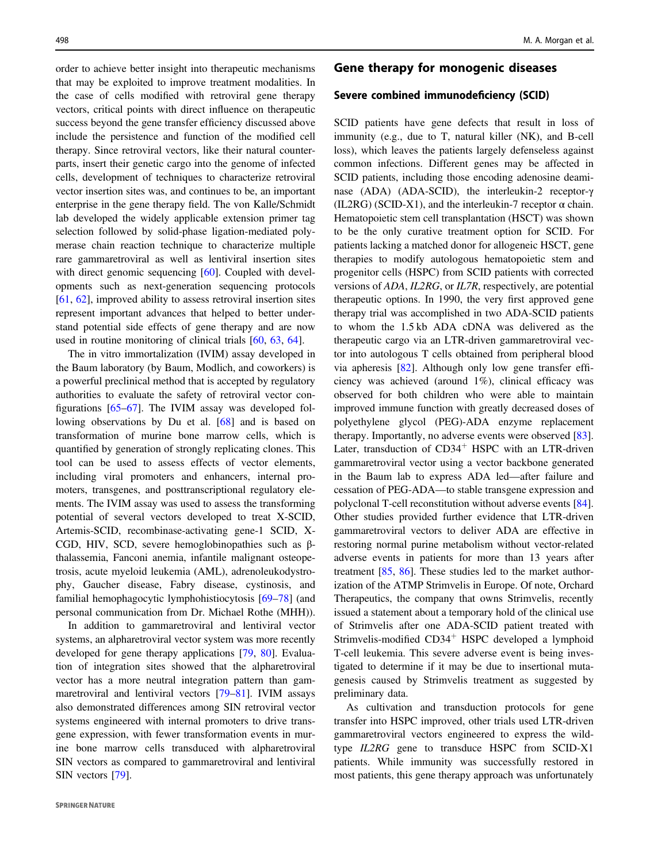order to achieve better insight into therapeutic mechanisms that may be exploited to improve treatment modalities. In the case of cells modified with retroviral gene therapy vectors, critical points with direct influence on therapeutic success beyond the gene transfer efficiency discussed above include the persistence and function of the modified cell therapy. Since retroviral vectors, like their natural counterparts, insert their genetic cargo into the genome of infected cells, development of techniques to characterize retroviral vector insertion sites was, and continues to be, an important enterprise in the gene therapy field. The von Kalle/Schmidt lab developed the widely applicable extension primer tag selection followed by solid-phase ligation-mediated polymerase chain reaction technique to characterize multiple rare gammaretroviral as well as lentiviral insertion sites with direct genomic sequencing [[60\]](#page-14-0). Coupled with developments such as next-generation sequencing protocols [\[61](#page-14-0), [62\]](#page-15-0), improved ability to assess retroviral insertion sites represent important advances that helped to better understand potential side effects of gene therapy and are now used in routine monitoring of clinical trials [[60,](#page-14-0) [63,](#page-15-0) [64\]](#page-15-0).

The in vitro immortalization (IVIM) assay developed in the Baum laboratory (by Baum, Modlich, and coworkers) is a powerful preclinical method that is accepted by regulatory authorities to evaluate the safety of retroviral vector configurations [\[65](#page-15-0)–[67](#page-15-0)]. The IVIM assay was developed following observations by Du et al. [[68\]](#page-15-0) and is based on transformation of murine bone marrow cells, which is quantified by generation of strongly replicating clones. This tool can be used to assess effects of vector elements, including viral promoters and enhancers, internal promoters, transgenes, and posttranscriptional regulatory elements. The IVIM assay was used to assess the transforming potential of several vectors developed to treat X-SCID, Artemis-SCID, recombinase-activating gene-1 SCID, X-CGD, HIV, SCD, severe hemoglobinopathies such as βthalassemia, Fanconi anemia, infantile malignant osteopetrosis, acute myeloid leukemia (AML), adrenoleukodystrophy, Gaucher disease, Fabry disease, cystinosis, and familial hemophagocytic lymphohistiocytosis [\[69](#page-15-0)–[78\]](#page-15-0) (and personal communication from Dr. Michael Rothe (MHH)).

In addition to gammaretroviral and lentiviral vector systems, an alpharetroviral vector system was more recently developed for gene therapy applications [\[79](#page-15-0), [80\]](#page-15-0). Evaluation of integration sites showed that the alpharetroviral vector has a more neutral integration pattern than gammaretroviral and lentiviral vectors [[79](#page-15-0)–[81\]](#page-15-0). IVIM assays also demonstrated differences among SIN retroviral vector systems engineered with internal promoters to drive transgene expression, with fewer transformation events in murine bone marrow cells transduced with alpharetroviral SIN vectors as compared to gammaretroviral and lentiviral SIN vectors [\[79](#page-15-0)].

# Gene therapy for monogenic diseases

## Severe combined immunodeficiency (SCID)

SCID patients have gene defects that result in loss of immunity (e.g., due to T, natural killer (NK), and B-cell loss), which leaves the patients largely defenseless against common infections. Different genes may be affected in SCID patients, including those encoding adenosine deaminase (ADA) (ADA-SCID), the interleukin-2 receptor-γ (IL2RG) (SCID-X1), and the interleukin-7 receptor  $\alpha$  chain. Hematopoietic stem cell transplantation (HSCT) was shown to be the only curative treatment option for SCID. For patients lacking a matched donor for allogeneic HSCT, gene therapies to modify autologous hematopoietic stem and progenitor cells (HSPC) from SCID patients with corrected versions of ADA, IL2RG, or IL7R, respectively, are potential therapeutic options. In 1990, the very first approved gene therapy trial was accomplished in two ADA-SCID patients to whom the 1.5 kb ADA cDNA was delivered as the therapeutic cargo via an LTR-driven gammaretroviral vector into autologous T cells obtained from peripheral blood via apheresis [[82\]](#page-15-0). Although only low gene transfer efficiency was achieved (around 1%), clinical efficacy was observed for both children who were able to maintain improved immune function with greatly decreased doses of polyethylene glycol (PEG)-ADA enzyme replacement therapy. Importantly, no adverse events were observed [[83\]](#page-15-0). Later, transduction of  $CD34<sup>+</sup>$  HSPC with an LTR-driven gammaretroviral vector using a vector backbone generated in the Baum lab to express ADA led—after failure and cessation of PEG-ADA—to stable transgene expression and polyclonal T-cell reconstitution without adverse events [[84\]](#page-15-0). Other studies provided further evidence that LTR-driven gammaretroviral vectors to deliver ADA are effective in restoring normal purine metabolism without vector-related adverse events in patients for more than 13 years after treatment [[85,](#page-15-0) [86\]](#page-15-0). These studies led to the market authorization of the ATMP Strimvelis in Europe. Of note, Orchard Therapeutics, the company that owns Strimvelis, recently issued a statement about a temporary hold of the clinical use of Strimvelis after one ADA-SCID patient treated with Strimvelis-modified CD34<sup>+</sup> HSPC developed a lymphoid T-cell leukemia. This severe adverse event is being investigated to determine if it may be due to insertional mutagenesis caused by Strimvelis treatment as suggested by preliminary data.

As cultivation and transduction protocols for gene transfer into HSPC improved, other trials used LTR-driven gammaretroviral vectors engineered to express the wildtype IL2RG gene to transduce HSPC from SCID-X1 patients. While immunity was successfully restored in most patients, this gene therapy approach was unfortunately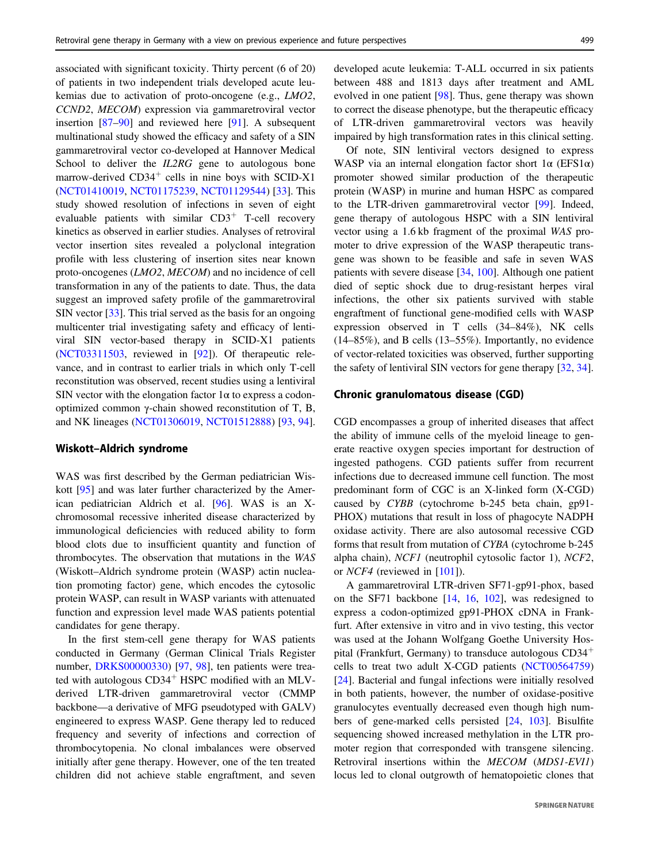associated with significant toxicity. Thirty percent (6 of 20) of patients in two independent trials developed acute leukemias due to activation of proto-oncogene (e.g., LMO2, CCND2, MECOM) expression via gammaretroviral vector insertion [[87](#page-15-0)–[90\]](#page-15-0) and reviewed here [\[91](#page-15-0)]. A subsequent multinational study showed the efficacy and safety of a SIN gammaretroviral vector co-developed at Hannover Medical School to deliver the *IL2RG* gene to autologous bone marrow-derived  $CD34<sup>+</sup>$  cells in nine boys with SCID-X1 [\(NCT01410019](http://clinicaltrials.gov/show/NCT01410019), [NCT01175239](http://clinicaltrials.gov/show/NCT01175239), [NCT01129544](http://clinicaltrials.gov/show/NCT01129544)) [\[33](#page-14-0)]. This study showed resolution of infections in seven of eight evaluable patients with similar  $CD3^+$  T-cell recovery kinetics as observed in earlier studies. Analyses of retroviral vector insertion sites revealed a polyclonal integration profile with less clustering of insertion sites near known proto-oncogenes (LMO2, MECOM) and no incidence of cell transformation in any of the patients to date. Thus, the data suggest an improved safety profile of the gammaretroviral SIN vector [[33\]](#page-14-0). This trial served as the basis for an ongoing multicenter trial investigating safety and efficacy of lentiviral SIN vector-based therapy in SCID-X1 patients [\(NCT03311503](https://clinicaltrials.gov/show/NCT03311503), reviewed in [[92\]](#page-15-0)). Of therapeutic relevance, and in contrast to earlier trials in which only T-cell reconstitution was observed, recent studies using a lentiviral SIN vector with the elongation factor  $1\alpha$  to express a codonoptimized common γ-chain showed reconstitution of T, B, and NK lineages ([NCT01306019,](https://stm.sciencemag.org/lookup/external-ref?link_type=CLINTRIALGOV&access_num=NCT01306019&atom=%2Fscitransmed%2F8%2F335%2F335ra57.atom) [NCT01512888\)](https://clinicaltrials.gov/show/NCT01512888) [\[93](#page-15-0), [94](#page-15-0)].

## Wiskott–Aldrich syndrome

WAS was first described by the German pediatrician Wiskott [\[95](#page-15-0)] and was later further characterized by the American pediatrician Aldrich et al. [[96\]](#page-16-0). WAS is an Xchromosomal recessive inherited disease characterized by immunological deficiencies with reduced ability to form blood clots due to insufficient quantity and function of thrombocytes. The observation that mutations in the WAS (Wiskott–Aldrich syndrome protein (WASP) actin nucleation promoting factor) gene, which encodes the cytosolic protein WASP, can result in WASP variants with attenuated function and expression level made WAS patients potential candidates for gene therapy.

In the first stem-cell gene therapy for WAS patients conducted in Germany (German Clinical Trials Register number, [DRKS00000330\)](https://www.drks.de/drks_web/navigate.do?navigationId=trial.HTML&TRIAL_ID=DRKS00000330) [[97,](#page-16-0) [98\]](#page-16-0), ten patients were treated with autologous  $CD34<sup>+</sup>$  HSPC modified with an MLVderived LTR-driven gammaretroviral vector (CMMP backbone—a derivative of MFG pseudotyped with GALV) engineered to express WASP. Gene therapy led to reduced frequency and severity of infections and correction of thrombocytopenia. No clonal imbalances were observed initially after gene therapy. However, one of the ten treated children did not achieve stable engraftment, and seven

developed acute leukemia: T-ALL occurred in six patients between 488 and 1813 days after treatment and AML evolved in one patient [[98\]](#page-16-0). Thus, gene therapy was shown to correct the disease phenotype, but the therapeutic efficacy of LTR-driven gammaretroviral vectors was heavily impaired by high transformation rates in this clinical setting.

Of note, SIN lentiviral vectors designed to express WASP via an internal elongation factor short  $1\alpha$  (EFS1 $\alpha$ ) promoter showed similar production of the therapeutic protein (WASP) in murine and human HSPC as compared to the LTR-driven gammaretroviral vector [[99\]](#page-16-0). Indeed, gene therapy of autologous HSPC with a SIN lentiviral vector using a 1.6 kb fragment of the proximal WAS promoter to drive expression of the WASP therapeutic transgene was shown to be feasible and safe in seven WAS patients with severe disease [[34,](#page-14-0) [100\]](#page-16-0). Although one patient died of septic shock due to drug-resistant herpes viral infections, the other six patients survived with stable engraftment of functional gene-modified cells with WASP expression observed in T cells (34–84%), NK cells (14–85%), and B cells (13–55%). Importantly, no evidence of vector-related toxicities was observed, further supporting the safety of lentiviral SIN vectors for gene therapy [[32,](#page-14-0) [34\]](#page-14-0).

## Chronic granulomatous disease (CGD)

CGD encompasses a group of inherited diseases that affect the ability of immune cells of the myeloid lineage to generate reactive oxygen species important for destruction of ingested pathogens. CGD patients suffer from recurrent infections due to decreased immune cell function. The most predominant form of CGC is an X-linked form (X-CGD) caused by CYBB (cytochrome b-245 beta chain, gp91- PHOX) mutations that result in loss of phagocyte NADPH oxidase activity. There are also autosomal recessive CGD forms that result from mutation of CYBA (cytochrome b-245 alpha chain), NCF1 (neutrophil cytosolic factor 1), NCF2, or NCF4 (reviewed in [\[101](#page-16-0)]).

A gammaretroviral LTR-driven SF71-gp91-phox, based on the SF71 backbone [\[14](#page-13-0), [16](#page-13-0), [102\]](#page-16-0), was redesigned to express a codon-optimized gp91-PHOX cDNA in Frankfurt. After extensive in vitro and in vivo testing, this vector was used at the Johann Wolfgang Goethe University Hospital (Frankfurt, Germany) to transduce autologous CD34<sup>+</sup> cells to treat two adult X-CGD patients [\(NCT00564759](https://clinicaltrials.gov/ct2/show/NCT00564759)) [\[24](#page-13-0)]. Bacterial and fungal infections were initially resolved in both patients, however, the number of oxidase-positive granulocytes eventually decreased even though high numbers of gene-marked cells persisted [\[24](#page-13-0), [103](#page-16-0)]. Bisulfite sequencing showed increased methylation in the LTR promoter region that corresponded with transgene silencing. Retroviral insertions within the MECOM (MDS1-EVI1) locus led to clonal outgrowth of hematopoietic clones that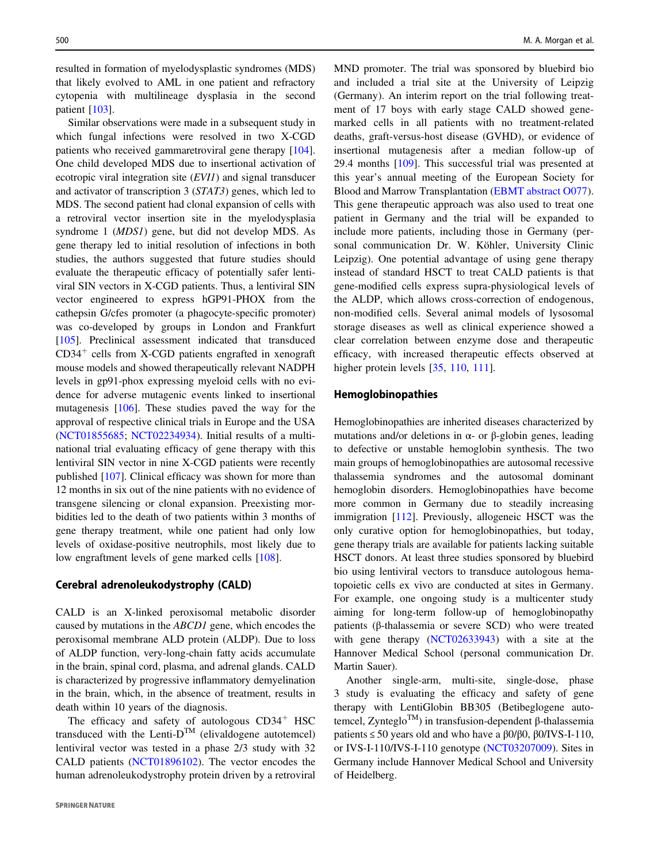resulted in formation of myelodysplastic syndromes (MDS) that likely evolved to AML in one patient and refractory cytopenia with multilineage dysplasia in the second patient [\[103](#page-16-0)].

Similar observations were made in a subsequent study in which fungal infections were resolved in two X-CGD patients who received gammaretroviral gene therapy [\[104](#page-16-0)]. One child developed MDS due to insertional activation of ecotropic viral integration site (EVI1) and signal transducer and activator of transcription 3 (STAT3) genes, which led to MDS. The second patient had clonal expansion of cells with a retroviral vector insertion site in the myelodysplasia syndrome 1 (MDS1) gene, but did not develop MDS. As gene therapy led to initial resolution of infections in both studies, the authors suggested that future studies should evaluate the therapeutic efficacy of potentially safer lentiviral SIN vectors in X-CGD patients. Thus, a lentiviral SIN vector engineered to express hGP91-PHOX from the cathepsin G/cfes promoter (a phagocyte-specific promoter) was co-developed by groups in London and Frankfurt [\[105](#page-16-0)]. Preclinical assessment indicated that transduced  $CD34<sup>+</sup>$  cells from X-CGD patients engrafted in xenograft mouse models and showed therapeutically relevant NADPH levels in gp91-phox expressing myeloid cells with no evidence for adverse mutagenic events linked to insertional mutagenesis [[106\]](#page-16-0). These studies paved the way for the approval of respective clinical trials in Europe and the USA [\(NCT01855685](https://clinicaltrials.gov/ct2/show/NCT01855685); [NCT02234934](https://clinicaltrials.gov/ct2/show/NCT02234934)). Initial results of a multinational trial evaluating efficacy of gene therapy with this lentiviral SIN vector in nine X-CGD patients were recently published [[107\]](#page-16-0). Clinical efficacy was shown for more than 12 months in six out of the nine patients with no evidence of transgene silencing or clonal expansion. Preexisting morbidities led to the death of two patients within 3 months of gene therapy treatment, while one patient had only low levels of oxidase-positive neutrophils, most likely due to low engraftment levels of gene marked cells [\[108\]](#page-16-0).

## Cerebral adrenoleukodystrophy (CALD)

CALD is an X-linked peroxisomal metabolic disorder caused by mutations in the ABCD1 gene, which encodes the peroxisomal membrane ALD protein (ALDP). Due to loss of ALDP function, very-long-chain fatty acids accumulate in the brain, spinal cord, plasma, and adrenal glands. CALD is characterized by progressive inflammatory demyelination in the brain, which, in the absence of treatment, results in death within 10 years of the diagnosis.

The efficacy and safety of autologous  $CD34<sup>+</sup>$  HSC transduced with the Lenti- $D^{TM}$  (elivaldogene autotemcel) lentiviral vector was tested in a phase 2/3 study with 32 CALD patients [\(NCT01896102](https://clinicaltrials.gov/show/NCT01896102)). The vector encodes the human adrenoleukodystrophy protein driven by a retroviral MND promoter. The trial was sponsored by bluebird bio and included a trial site at the University of Leipzig (Germany). An interim report on the trial following treatment of 17 boys with early stage CALD showed genemarked cells in all patients with no treatment-related deaths, graft-versus-host disease (GVHD), or evidence of insertional mutagenesis after a median follow-up of 29.4 months [\[109](#page-16-0)]. This successful trial was presented at this year's annual meeting of the European Society for Blood and Marrow Transplantation ([EBMT abstract O077](https://www.professionalabstracts.com/ebmt2020/iPlanner/#/presentation/5179)). This gene therapeutic approach was also used to treat one patient in Germany and the trial will be expanded to include more patients, including those in Germany (personal communication Dr. W. Köhler, University Clinic Leipzig). One potential advantage of using gene therapy instead of standard HSCT to treat CALD patients is that gene-modified cells express supra-physiological levels of the ALDP, which allows cross-correction of endogenous, non-modified cells. Several animal models of lysosomal storage diseases as well as clinical experience showed a clear correlation between enzyme dose and therapeutic efficacy, with increased therapeutic effects observed at higher protein levels [[35,](#page-14-0) [110,](#page-16-0) [111\]](#page-16-0).

## Hemoglobinopathies

Hemoglobinopathies are inherited diseases characterized by mutations and/or deletions in α- or β-globin genes, leading to defective or unstable hemoglobin synthesis. The two main groups of hemoglobinopathies are autosomal recessive thalassemia syndromes and the autosomal dominant hemoglobin disorders. Hemoglobinopathies have become more common in Germany due to steadily increasing immigration [[112\]](#page-16-0). Previously, allogeneic HSCT was the only curative option for hemoglobinopathies, but today, gene therapy trials are available for patients lacking suitable HSCT donors. At least three studies sponsored by bluebird bio using lentiviral vectors to transduce autologous hematopoietic cells ex vivo are conducted at sites in Germany. For example, one ongoing study is a multicenter study aiming for long-term follow-up of hemoglobinopathy patients (β-thalassemia or severe SCD) who were treated with gene therapy ([NCT02633943](https://clinicaltrials.gov/ct2/show/NCT02633943)) with a site at the Hannover Medical School (personal communication Dr. Martin Sauer).

Another single-arm, multi-site, single-dose, phase 3 study is evaluating the efficacy and safety of gene therapy with LentiGlobin BB305 (Betibeglogene autotemcel, Zynteglo<sup>TM</sup>) in transfusion-dependent β-thalassemia patients ≤ 50 years old and who have a β0/β0, β0/IVS-I-110, or IVS-I-110/IVS-I-110 genotype [\(NCT03207009](https://clinicaltrials.gov/ct2/show/NCT03207009)). Sites in Germany include Hannover Medical School and University of Heidelberg.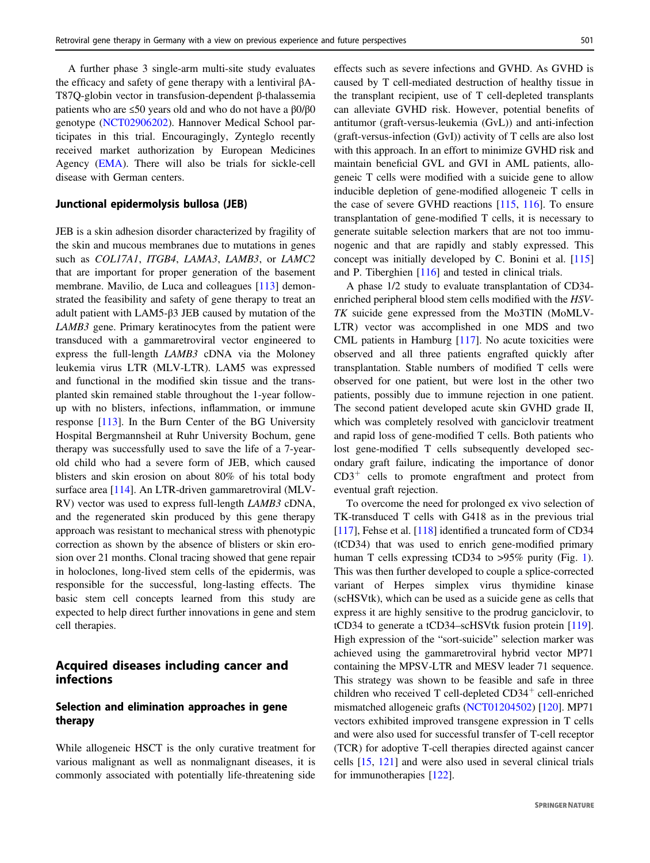A further phase 3 single-arm multi-site study evaluates the efficacy and safety of gene therapy with a lentiviral βA-T87Q-globin vector in transfusion-dependent β-thalassemia patients who are ≤50 years old and who do not have a β0/β0 genotype [\(NCT02906202](https://clinicaltrials.gov/ct2/show/NCT02906202)). Hannover Medical School participates in this trial. Encouragingly, Zynteglo recently received market authorization by European Medicines Agency [\(EMA](https://www.ema.europa.eu/en/medicines/human/EPAR/zynteglo)). There will also be trials for sickle-cell disease with German centers.

#### Junctional epidermolysis bullosa (JEB)

JEB is a skin adhesion disorder characterized by fragility of the skin and mucous membranes due to mutations in genes such as COL17A1, ITGB4, LAMA3, LAMB3, or LAMC2 that are important for proper generation of the basement membrane. Mavilio, de Luca and colleagues [\[113](#page-16-0)] demonstrated the feasibility and safety of gene therapy to treat an adult patient with LAM5-β3 JEB caused by mutation of the LAMB3 gene. Primary keratinocytes from the patient were transduced with a gammaretroviral vector engineered to express the full-length LAMB3 cDNA via the Moloney leukemia virus LTR (MLV-LTR). LAM5 was expressed and functional in the modified skin tissue and the transplanted skin remained stable throughout the 1-year followup with no blisters, infections, inflammation, or immune response [\[113](#page-16-0)]. In the Burn Center of the BG University Hospital Bergmannsheil at Ruhr University Bochum, gene therapy was successfully used to save the life of a 7-yearold child who had a severe form of JEB, which caused blisters and skin erosion on about 80% of his total body surface area [\[114](#page-16-0)]. An LTR-driven gammaretroviral (MLV-RV) vector was used to express full-length LAMB3 cDNA, and the regenerated skin produced by this gene therapy approach was resistant to mechanical stress with phenotypic correction as shown by the absence of blisters or skin erosion over 21 months. Clonal tracing showed that gene repair in holoclones, long-lived stem cells of the epidermis, was responsible for the successful, long-lasting effects. The basic stem cell concepts learned from this study are expected to help direct further innovations in gene and stem cell therapies.

# Acquired diseases including cancer and infections

# Selection and elimination approaches in gene therapy

While allogeneic HSCT is the only curative treatment for various malignant as well as nonmalignant diseases, it is commonly associated with potentially life-threatening side effects such as severe infections and GVHD. As GVHD is caused by T cell-mediated destruction of healthy tissue in the transplant recipient, use of T cell-depleted transplants can alleviate GVHD risk. However, potential benefits of antitumor (graft-versus-leukemia (GvL)) and anti-infection (graft-versus-infection (GvI)) activity of T cells are also lost with this approach. In an effort to minimize GVHD risk and maintain beneficial GVL and GVI in AML patients, allogeneic T cells were modified with a suicide gene to allow inducible depletion of gene-modified allogeneic T cells in the case of severe GVHD reactions [\[115](#page-16-0), [116](#page-16-0)]. To ensure transplantation of gene-modified T cells, it is necessary to generate suitable selection markers that are not too immunogenic and that are rapidly and stably expressed. This concept was initially developed by C. Bonini et al. [\[115](#page-16-0)] and P. Tiberghien [\[116](#page-16-0)] and tested in clinical trials.

A phase 1/2 study to evaluate transplantation of CD34 enriched peripheral blood stem cells modified with the HSV-TK suicide gene expressed from the Mo3TIN (MoMLV-LTR) vector was accomplished in one MDS and two CML patients in Hamburg [\[117](#page-16-0)]. No acute toxicities were observed and all three patients engrafted quickly after transplantation. Stable numbers of modified T cells were observed for one patient, but were lost in the other two patients, possibly due to immune rejection in one patient. The second patient developed acute skin GVHD grade II, which was completely resolved with ganciclovir treatment and rapid loss of gene-modified T cells. Both patients who lost gene-modified T cells subsequently developed secondary graft failure, indicating the importance of donor  $CD3<sup>+</sup>$  cells to promote engraftment and protect from eventual graft rejection.

To overcome the need for prolonged ex vivo selection of TK-transduced T cells with G418 as in the previous trial [\[117](#page-16-0)], Fehse et al. [\[118](#page-16-0)] identified a truncated form of CD34 (tCD34) that was used to enrich gene-modified primary human T cells expressing tCD34 to >95% purity (Fig. [1\)](#page-2-0). This was then further developed to couple a splice-corrected variant of Herpes simplex virus thymidine kinase (scHSVtk), which can be used as a suicide gene as cells that express it are highly sensitive to the prodrug ganciclovir, to tCD34 to generate a tCD34–scHSVtk fusion protein [[119\]](#page-16-0). High expression of the "sort-suicide" selection marker was achieved using the gammaretroviral hybrid vector MP71 containing the MPSV-LTR and MESV leader 71 sequence. This strategy was shown to be feasible and safe in three children who received  $T$  cell-depleted  $CD34<sup>+</sup>$  cell-enriched mismatched allogeneic grafts ([NCT01204502\)](http://clinicaltrials.gov/ct2/archive/NCT01204502) [[120\]](#page-16-0). MP71 vectors exhibited improved transgene expression in T cells and were also used for successful transfer of T-cell receptor (TCR) for adoptive T-cell therapies directed against cancer cells [[15,](#page-13-0) [121\]](#page-16-0) and were also used in several clinical trials for immunotherapies [\[122](#page-16-0)].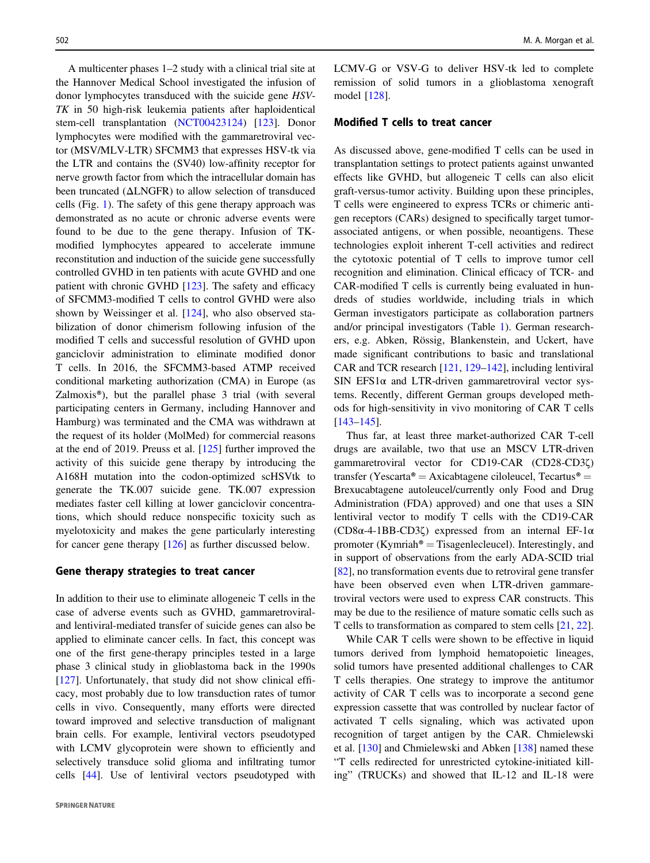A multicenter phases 1–2 study with a clinical trial site at the Hannover Medical School investigated the infusion of donor lymphocytes transduced with the suicide gene HSV-TK in 50 high-risk leukemia patients after haploidentical stem-cell transplantation ([NCT00423124\)](https://clinicaltrials.gov/show/NCT00423124) [\[123](#page-16-0)]. Donor lymphocytes were modified with the gammaretroviral vector (MSV/MLV-LTR) SFCMM3 that expresses HSV-tk via the LTR and contains the (SV40) low-affinity receptor for nerve growth factor from which the intracellular domain has been truncated (ΔLNGFR) to allow selection of transduced cells (Fig. [1\)](#page-2-0). The safety of this gene therapy approach was demonstrated as no acute or chronic adverse events were found to be due to the gene therapy. Infusion of TKmodified lymphocytes appeared to accelerate immune reconstitution and induction of the suicide gene successfully controlled GVHD in ten patients with acute GVHD and one patient with chronic GVHD [\[123](#page-16-0)]. The safety and efficacy of SFCMM3-modified T cells to control GVHD were also shown by Weissinger et al. [\[124](#page-16-0)], who also observed stabilization of donor chimerism following infusion of the modified T cells and successful resolution of GVHD upon ganciclovir administration to eliminate modified donor T cells. In 2016, the SFCMM3-based ATMP received conditional marketing authorization (CMA) in Europe (as Zalmoxis®), but the parallel phase 3 trial (with several participating centers in Germany, including Hannover and Hamburg) was terminated and the CMA was withdrawn at the request of its holder (MolMed) for commercial reasons at the end of 2019. Preuss et al. [\[125](#page-16-0)] further improved the activity of this suicide gene therapy by introducing the A168H mutation into the codon-optimized scHSVtk to generate the TK.007 suicide gene. TK.007 expression mediates faster cell killing at lower ganciclovir concentrations, which should reduce nonspecific toxicity such as myelotoxicity and makes the gene particularly interesting for cancer gene therapy [[126\]](#page-16-0) as further discussed below.

#### Gene therapy strategies to treat cancer

In addition to their use to eliminate allogeneic T cells in the case of adverse events such as GVHD, gammaretroviraland lentiviral-mediated transfer of suicide genes can also be applied to eliminate cancer cells. In fact, this concept was one of the first gene-therapy principles tested in a large phase 3 clinical study in glioblastoma back in the 1990s [\[127](#page-16-0)]. Unfortunately, that study did not show clinical efficacy, most probably due to low transduction rates of tumor cells in vivo. Consequently, many efforts were directed toward improved and selective transduction of malignant brain cells. For example, lentiviral vectors pseudotyped with LCMV glycoprotein were shown to efficiently and selectively transduce solid glioma and infiltrating tumor cells [[44\]](#page-14-0). Use of lentiviral vectors pseudotyped with LCMV-G or VSV-G to deliver HSV-tk led to complete remission of solid tumors in a glioblastoma xenograft model [\[128](#page-16-0)].

## Modified T cells to treat cancer

As discussed above, gene-modified T cells can be used in transplantation settings to protect patients against unwanted effects like GVHD, but allogeneic T cells can also elicit graft-versus-tumor activity. Building upon these principles, T cells were engineered to express TCRs or chimeric antigen receptors (CARs) designed to specifically target tumorassociated antigens, or when possible, neoantigens. These technologies exploit inherent T-cell activities and redirect the cytotoxic potential of T cells to improve tumor cell recognition and elimination. Clinical efficacy of TCR- and CAR-modified T cells is currently being evaluated in hundreds of studies worldwide, including trials in which German investigators participate as collaboration partners and/or principal investigators (Table [1](#page-9-0)). German researchers, e.g. Abken, Rössig, Blankenstein, and Uckert, have made significant contributions to basic and translational CAR and TCR research [[121,](#page-16-0) [129](#page-16-0)–[142\]](#page-17-0), including lentiviral SIN EFS1 $\alpha$  and LTR-driven gammaretroviral vector systems. Recently, different German groups developed methods for high-sensitivity in vivo monitoring of CAR T cells [\[143](#page-17-0)–[145](#page-17-0)].

Thus far, at least three market-authorized CAR T-cell drugs are available, two that use an MSCV LTR-driven gammaretroviral vector for CD19-CAR (CD28-CD3ζ) transfer (Yescarta® = Axicabtagene ciloleucel, Tecartus® = Brexucabtagene autoleucel/currently only Food and Drug Administration (FDA) approved) and one that uses a SIN lentiviral vector to modify T cells with the CD19-CAR (CD8α-4-1BB-CD3ζ) expressed from an internal EF-1α promoter (Kymriah<sup>®</sup> = Tisagenlecleucel). Interestingly, and in support of observations from the early ADA-SCID trial [\[82](#page-15-0)], no transformation events due to retroviral gene transfer have been observed even when LTR-driven gammaretroviral vectors were used to express CAR constructs. This may be due to the resilience of mature somatic cells such as T cells to transformation as compared to stem cells [[21,](#page-13-0) [22\]](#page-13-0).

While CAR T cells were shown to be effective in liquid tumors derived from lymphoid hematopoietic lineages, solid tumors have presented additional challenges to CAR T cells therapies. One strategy to improve the antitumor activity of CAR T cells was to incorporate a second gene expression cassette that was controlled by nuclear factor of activated T cells signaling, which was activated upon recognition of target antigen by the CAR. Chmielewski et al. [\[130](#page-16-0)] and Chmielewski and Abken [[138\]](#page-17-0) named these "T cells redirected for unrestricted cytokine-initiated killing" (TRUCKs) and showed that IL-12 and IL-18 were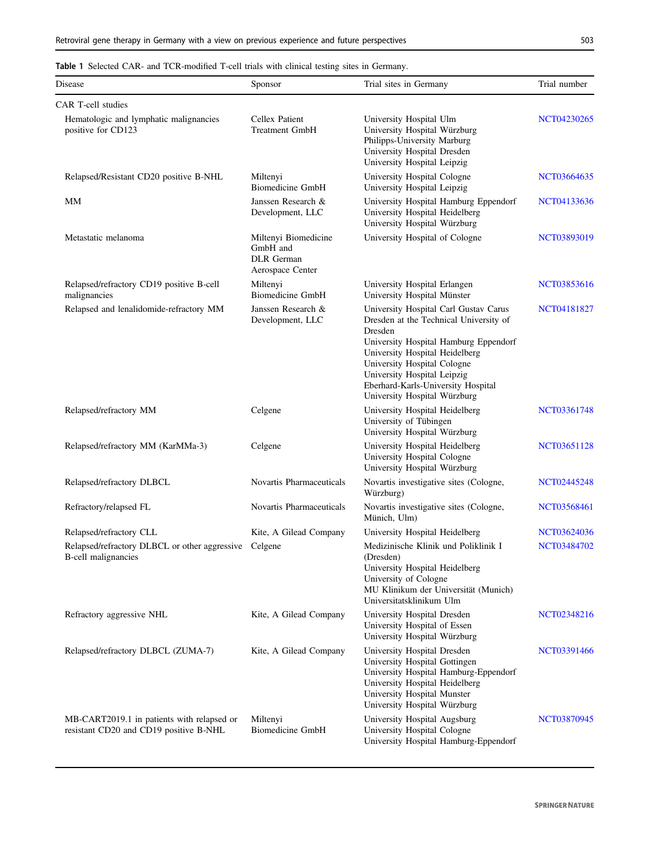<span id="page-9-0"></span>Table 1 Selected CAR- and TCR-modified T-cell trials with clinical testing sites in Germany.

| Disease                                                                              | Sponsor                                                            | Trial sites in Germany                                                                                                                                                                                                                                                                                    | Trial number       |
|--------------------------------------------------------------------------------------|--------------------------------------------------------------------|-----------------------------------------------------------------------------------------------------------------------------------------------------------------------------------------------------------------------------------------------------------------------------------------------------------|--------------------|
| CAR T-cell studies                                                                   |                                                                    |                                                                                                                                                                                                                                                                                                           |                    |
| Hematologic and lymphatic malignancies<br>positive for CD123                         | Cellex Patient<br><b>Treatment GmbH</b>                            | University Hospital Ulm<br>University Hospital Würzburg<br>Philipps-University Marburg<br>University Hospital Dresden<br>University Hospital Leipzig                                                                                                                                                      | NCT04230265        |
| Relapsed/Resistant CD20 positive B-NHL                                               | Miltenyi<br><b>Biomedicine GmbH</b>                                | University Hospital Cologne<br>University Hospital Leipzig                                                                                                                                                                                                                                                | NCT03664635        |
| MМ                                                                                   | Janssen Research &<br>Development, LLC                             | University Hospital Hamburg Eppendorf<br>University Hospital Heidelberg<br>University Hospital Würzburg                                                                                                                                                                                                   | NCT04133636        |
| Metastatic melanoma                                                                  | Miltenyi Biomedicine<br>GmbH and<br>DLR German<br>Aerospace Center | University Hospital of Cologne                                                                                                                                                                                                                                                                            | NCT03893019        |
| Relapsed/refractory CD19 positive B-cell<br>malignancies                             | Miltenyi<br><b>Biomedicine GmbH</b>                                | University Hospital Erlangen<br>University Hospital Münster                                                                                                                                                                                                                                               | NCT03853616        |
| Relapsed and lenalidomide-refractory MM                                              | Janssen Research &<br>Development, LLC                             | University Hospital Carl Gustav Carus<br>Dresden at the Technical University of<br>Dresden<br>University Hospital Hamburg Eppendorf<br>University Hospital Heidelberg<br>University Hospital Cologne<br>University Hospital Leipzig<br>Eberhard-Karls-University Hospital<br>University Hospital Würzburg | NCT04181827        |
| Relapsed/refractory MM                                                               | Celgene                                                            | University Hospital Heidelberg<br>University of Tübingen<br>University Hospital Würzburg                                                                                                                                                                                                                  | NCT03361748        |
| Relapsed/refractory MM (KarMMa-3)                                                    | Celgene                                                            | University Hospital Heidelberg<br>University Hospital Cologne<br>University Hospital Würzburg                                                                                                                                                                                                             | NCT03651128        |
| Relapsed/refractory DLBCL                                                            | Novartis Pharmaceuticals                                           | Novartis investigative sites (Cologne,<br>Würzburg)                                                                                                                                                                                                                                                       | NCT02445248        |
| Refractory/relapsed FL                                                               | Novartis Pharmaceuticals                                           | Novartis investigative sites (Cologne,<br>Münich, Ulm)                                                                                                                                                                                                                                                    | NCT03568461        |
| Relapsed/refractory CLL                                                              | Kite, A Gilead Company                                             | University Hospital Heidelberg                                                                                                                                                                                                                                                                            | NCT03624036        |
| Relapsed/refractory DLBCL or other aggressive<br><b>B-cell malignancies</b>          | Celgene                                                            | Medizinische Klinik und Poliklinik I<br>(Dresden)<br>University Hospital Heidelberg<br>University of Cologne<br>MU Klinikum der Universität (Munich)<br>Universitatsklinikum Ulm                                                                                                                          | <b>NCT03484702</b> |
| Refractory aggressive NHL                                                            | Kite, A Gilead Company                                             | University Hospital Dresden<br>University Hospital of Essen<br>University Hospital Würzburg                                                                                                                                                                                                               | NCT02348216        |
| Relapsed/refractory DLBCL (ZUMA-7)                                                   | Kite, A Gilead Company                                             | University Hospital Dresden<br>University Hospital Gottingen<br>University Hospital Hamburg-Eppendorf<br>University Hospital Heidelberg<br>University Hospital Munster<br>University Hospital Würzburg                                                                                                    | NCT03391466        |
| MB-CART2019.1 in patients with relapsed or<br>resistant CD20 and CD19 positive B-NHL | Miltenyi<br><b>Biomedicine GmbH</b>                                | University Hospital Augsburg<br>University Hospital Cologne<br>University Hospital Hamburg-Eppendorf                                                                                                                                                                                                      | NCT03870945        |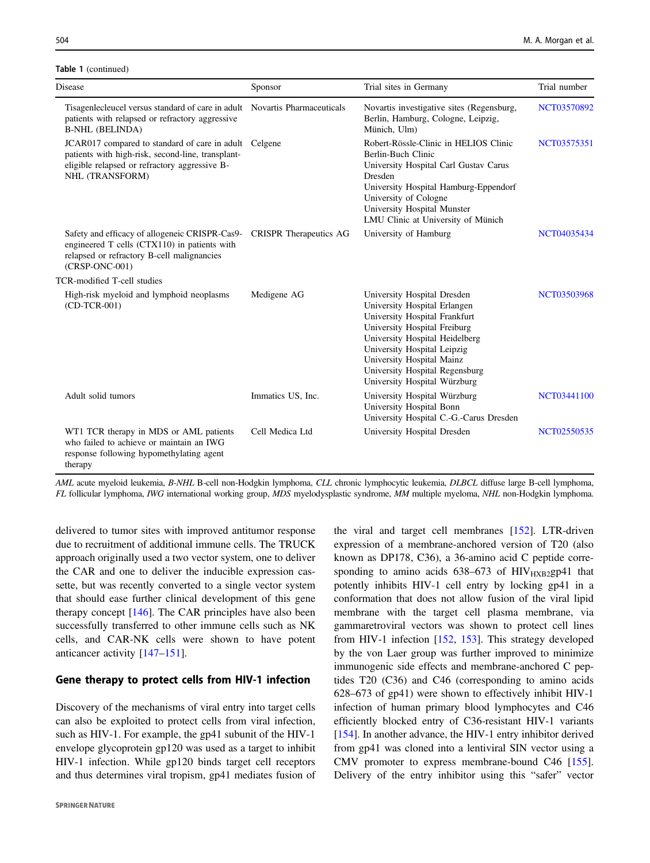#### Table 1 (continued)

| Disease                                                                                                                                                                | Sponsor                       | Trial sites in Germany                                                                                                                                                                                                                                                                       | Trial number |
|------------------------------------------------------------------------------------------------------------------------------------------------------------------------|-------------------------------|----------------------------------------------------------------------------------------------------------------------------------------------------------------------------------------------------------------------------------------------------------------------------------------------|--------------|
| Tisagenlecleucel versus standard of care in adult Novartis Pharmaceuticals<br>patients with relapsed or refractory aggressive<br><b>B-NHL (BELINDA)</b>                |                               | Novartis investigative sites (Regensburg,<br>Berlin, Hamburg, Cologne, Leipzig,<br>Münich, Ulm)                                                                                                                                                                                              | NCT03570892  |
| JCAR017 compared to standard of care in adult<br>patients with high-risk, second-line, transplant-<br>eligible relapsed or refractory aggressive B-<br>NHL (TRANSFORM) | Celgene                       | Robert-Rössle-Clinic in HELIOS Clinic<br>Berlin-Buch Clinic<br>University Hospital Carl Gustav Carus<br>Dresden<br>University Hospital Hamburg-Eppendorf<br>University of Cologne<br>University Hospital Munster<br>LMU Clinic at University of Münich                                       | NCT03575351  |
| Safety and efficacy of allogeneic CRISPR-Cas9-<br>engineered T cells (CTX110) in patients with<br>relapsed or refractory B-cell malignancies<br>(CRSP-ONC-001)         | <b>CRISPR</b> Therapeutics AG | University of Hamburg                                                                                                                                                                                                                                                                        | NCT04035434  |
| TCR-modified T-cell studies                                                                                                                                            |                               |                                                                                                                                                                                                                                                                                              |              |
| High-risk myeloid and lymphoid neoplasms<br>$(CD-TCR-001)$                                                                                                             | Medigene AG                   | University Hospital Dresden<br>University Hospital Erlangen<br>University Hospital Frankfurt<br>University Hospital Freiburg<br>University Hospital Heidelberg<br>University Hospital Leipzig<br>University Hospital Mainz<br>University Hospital Regensburg<br>University Hospital Würzburg | NCT03503968  |
| Adult solid tumors                                                                                                                                                     | Immatics US, Inc.             | University Hospital Würzburg<br>University Hospital Bonn<br>University Hospital C.-G.-Carus Dresden                                                                                                                                                                                          | NCT03441100  |
| WT1 TCR therapy in MDS or AML patients<br>who failed to achieve or maintain an IWG<br>response following hypomethylating agent<br>therapy                              | Cell Medica Ltd               | University Hospital Dresden                                                                                                                                                                                                                                                                  | NCT02550535  |

AML acute myeloid leukemia, B-NHL B-cell non-Hodgkin lymphoma, CLL chronic lymphocytic leukemia, DLBCL diffuse large B-cell lymphoma, FL follicular lymphoma, IWG international working group, MDS myelodysplastic syndrome, MM multiple myeloma, NHL non-Hodgkin lymphoma.

delivered to tumor sites with improved antitumor response due to recruitment of additional immune cells. The TRUCK approach originally used a two vector system, one to deliver the CAR and one to deliver the inducible expression cassette, but was recently converted to a single vector system that should ease further clinical development of this gene therapy concept [\[146](#page-17-0)]. The CAR principles have also been successfully transferred to other immune cells such as NK cells, and CAR-NK cells were shown to have potent anticancer activity [[147](#page-17-0)–[151\]](#page-17-0).

## Gene therapy to protect cells from HIV-1 infection

Discovery of the mechanisms of viral entry into target cells can also be exploited to protect cells from viral infection, such as HIV-1. For example, the gp41 subunit of the HIV-1 envelope glycoprotein gp120 was used as a target to inhibit HIV-1 infection. While gp120 binds target cell receptors and thus determines viral tropism, gp41 mediates fusion of the viral and target cell membranes [[152\]](#page-17-0). LTR-driven expression of a membrane-anchored version of T20 (also known as DP178, C36), a 36-amino acid C peptide corresponding to amino acids  $638-673$  of  $HIV_{HXB2}$ gp41 that potently inhibits HIV-1 cell entry by locking gp41 in a conformation that does not allow fusion of the viral lipid membrane with the target cell plasma membrane, via gammaretroviral vectors was shown to protect cell lines from HIV-1 infection [[152,](#page-17-0) [153](#page-17-0)]. This strategy developed by the von Laer group was further improved to minimize immunogenic side effects and membrane-anchored C peptides T20 (C36) and C46 (corresponding to amino acids 628–673 of gp41) were shown to effectively inhibit HIV-1 infection of human primary blood lymphocytes and C46 efficiently blocked entry of C36-resistant HIV-1 variants [\[154](#page-17-0)]. In another advance, the HIV-1 entry inhibitor derived from gp41 was cloned into a lentiviral SIN vector using a CMV promoter to express membrane-bound C46 [[155\]](#page-17-0). Delivery of the entry inhibitor using this "safer" vector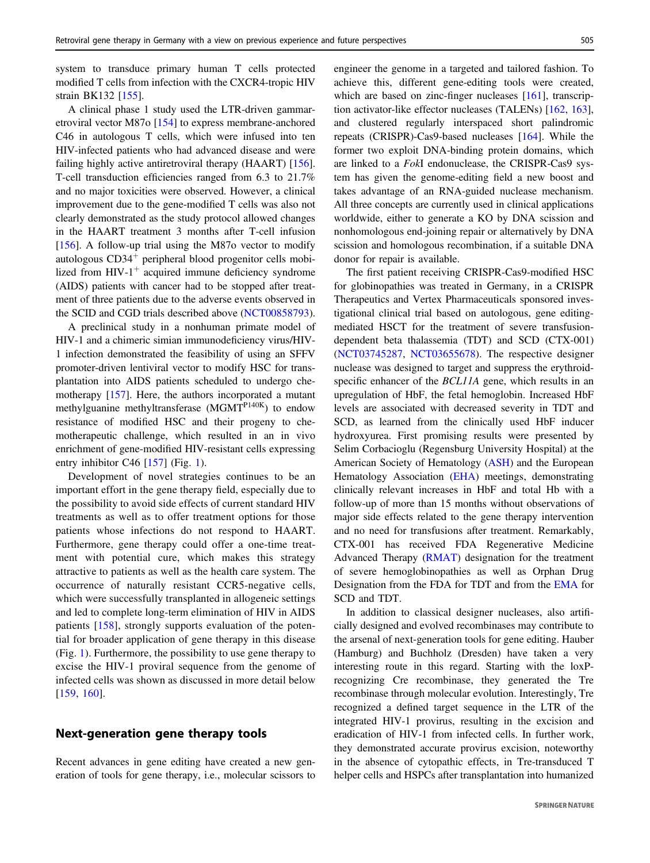system to transduce primary human T cells protected modified T cells from infection with the CXCR4-tropic HIV strain BK132 [[155](#page-17-0)].

A clinical phase 1 study used the LTR-driven gammaretroviral vector M87o [\[154](#page-17-0)] to express membrane-anchored C46 in autologous T cells, which were infused into ten HIV-infected patients who had advanced disease and were failing highly active antiretroviral therapy (HAART) [\[156](#page-17-0)]. T-cell transduction efficiencies ranged from 6.3 to 21.7% and no major toxicities were observed. However, a clinical improvement due to the gene-modified T cells was also not clearly demonstrated as the study protocol allowed changes in the HAART treatment 3 months after T-cell infusion [\[156](#page-17-0)]. A follow-up trial using the M87 $\sigma$  vector to modify autologous  $CD34<sup>+</sup>$  peripheral blood progenitor cells mobilized from  $HIV-1$ <sup>+</sup> acquired immune deficiency syndrome (AIDS) patients with cancer had to be stopped after treatment of three patients due to the adverse events observed in the SCID and CGD trials described above ([NCT00858793](https://clinicaltrials.gov/show/NCT00858793)).

A preclinical study in a nonhuman primate model of HIV-1 and a chimeric simian immunodeficiency virus/HIV-1 infection demonstrated the feasibility of using an SFFV promoter-driven lentiviral vector to modify HSC for transplantation into AIDS patients scheduled to undergo chemotherapy [\[157](#page-17-0)]. Here, the authors incorporated a mutant methylguanine methyltransferase (MGMT<sup>P140K</sup>) to endow resistance of modified HSC and their progeny to chemotherapeutic challenge, which resulted in an in vivo enrichment of gene-modified HIV-resistant cells expressing entry inhibitor C46  $[157]$  $[157]$  (Fig. [1\)](#page-2-0).

Development of novel strategies continues to be an important effort in the gene therapy field, especially due to the possibility to avoid side effects of current standard HIV treatments as well as to offer treatment options for those patients whose infections do not respond to HAART. Furthermore, gene therapy could offer a one-time treatment with potential cure, which makes this strategy attractive to patients as well as the health care system. The occurrence of naturally resistant CCR5-negative cells, which were successfully transplanted in allogeneic settings and led to complete long-term elimination of HIV in AIDS patients [[158\]](#page-17-0), strongly supports evaluation of the potential for broader application of gene therapy in this disease (Fig. [1\)](#page-2-0). Furthermore, the possibility to use gene therapy to excise the HIV-1 proviral sequence from the genome of infected cells was shown as discussed in more detail below [\[159,](#page-17-0) [160\]](#page-17-0).

# Next-generation gene therapy tools

Recent advances in gene editing have created a new generation of tools for gene therapy, i.e., molecular scissors to engineer the genome in a targeted and tailored fashion. To achieve this, different gene-editing tools were created, which are based on zinc-finger nucleases [\[161](#page-17-0)], transcription activator-like effector nucleases (TALENs) [\[162](#page-18-0), [163\]](#page-18-0), and clustered regularly interspaced short palindromic repeats (CRISPR)-Cas9-based nucleases [\[164](#page-18-0)]. While the former two exploit DNA-binding protein domains, which are linked to a FokI endonuclease, the CRISPR-Cas9 system has given the genome-editing field a new boost and takes advantage of an RNA-guided nuclease mechanism. All three concepts are currently used in clinical applications worldwide, either to generate a KO by DNA scission and nonhomologous end-joining repair or alternatively by DNA scission and homologous recombination, if a suitable DNA donor for repair is available.

The first patient receiving CRISPR-Cas9-modified HSC for globinopathies was treated in Germany, in a CRISPR Therapeutics and Vertex Pharmaceuticals sponsored investigational clinical trial based on autologous, gene editingmediated HSCT for the treatment of severe transfusiondependent beta thalassemia (TDT) and SCD (CTX-001) [\(NCT03745287](https://clinicaltrials.gov/show/NCT03745287), [NCT03655678](https://clinicaltrials.gov/show/NCT03655678)). The respective designer nuclease was designed to target and suppress the erythroidspecific enhancer of the *BCL11A* gene, which results in an upregulation of HbF, the fetal hemoglobin. Increased HbF levels are associated with decreased severity in TDT and SCD, as learned from the clinically used HbF inducer hydroxyurea. First promising results were presented by Selim Corbacioglu (Regensburg University Hospital) at the American Society of Hematology [\(ASH](https://www.ashclinicalnews.org/on-location/other-meetings/crispr-based-therapy-targeting-bcl11-shows-clinical-benefit-scd-beta-thalassemia/)) and the European Hematology Association ([EHA\)](https://library.ehaweb.org/eha/2020/eha25th/295100/selim.corbacioglu.initial.safety.and.efficacy.results.with.a.single.dose.of.html) meetings, demonstrating clinically relevant increases in HbF and total Hb with a follow-up of more than 15 months without observations of major side effects related to the gene therapy intervention and no need for transfusions after treatment. Remarkably, CTX-001 has received FDA Regenerative Medicine Advanced Therapy [\(RMAT](https://www.globenewswire.com/news-release/2020/05/11/2031145/0/en/CRISPR-Therapeutics-and-Vertex-Pharmaceuticals-Announce-FDA-Regenerative-Medicine-Advanced-Therapy-RMAT-Designation-Granted-to-CTX001-for-the-Treatment-of-Severe-Hemoglobinopathies.html)) designation for the treatment of severe hemoglobinopathies as well as Orphan Drug Designation from the FDA for TDT and from the [EMA](https://www.ema.europa.eu/en/medicines/human/orphan-designations/eu3192210) for SCD and TDT.

In addition to classical designer nucleases, also artificially designed and evolved recombinases may contribute to the arsenal of next-generation tools for gene editing. Hauber (Hamburg) and Buchholz (Dresden) have taken a very interesting route in this regard. Starting with the loxPrecognizing Cre recombinase, they generated the Tre recombinase through molecular evolution. Interestingly, Tre recognized a defined target sequence in the LTR of the integrated HIV-1 provirus, resulting in the excision and eradication of HIV-1 from infected cells. In further work, they demonstrated accurate provirus excision, noteworthy in the absence of cytopathic effects, in Tre-transduced T helper cells and HSPCs after transplantation into humanized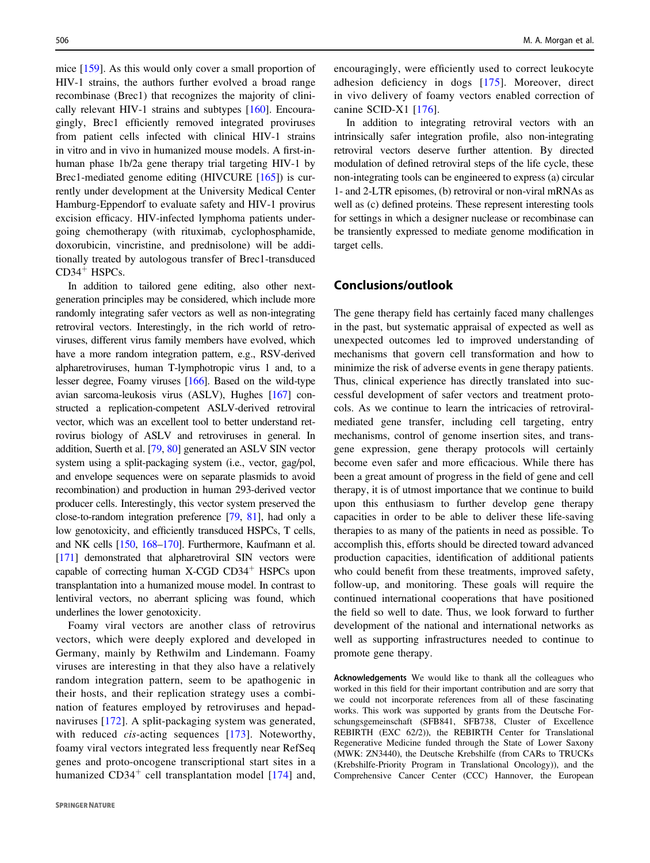mice [\[159](#page-17-0)]. As this would only cover a small proportion of HIV-1 strains, the authors further evolved a broad range recombinase (Brec1) that recognizes the majority of clinically relevant HIV-1 strains and subtypes [\[160](#page-17-0)]. Encouragingly, Brec1 efficiently removed integrated proviruses from patient cells infected with clinical HIV-1 strains in vitro and in vivo in humanized mouse models. A first-inhuman phase 1b/2a gene therapy trial targeting HIV-1 by Brec1-mediated genome editing (HIVCURE [\[165](#page-18-0)]) is currently under development at the University Medical Center Hamburg-Eppendorf to evaluate safety and HIV-1 provirus excision efficacy. HIV-infected lymphoma patients undergoing chemotherapy (with rituximab, cyclophosphamide, doxorubicin, vincristine, and prednisolone) will be additionally treated by autologous transfer of Brec1-transduced CD34<sup>+</sup> HSPCs.

In addition to tailored gene editing, also other nextgeneration principles may be considered, which include more randomly integrating safer vectors as well as non-integrating retroviral vectors. Interestingly, in the rich world of retroviruses, different virus family members have evolved, which have a more random integration pattern, e.g., RSV-derived alpharetroviruses, human T-lymphotropic virus 1 and, to a lesser degree, Foamy viruses [\[166\]](#page-18-0). Based on the wild-type avian sarcoma-leukosis virus (ASLV), Hughes [\[167\]](#page-18-0) constructed a replication-competent ASLV-derived retroviral vector, which was an excellent tool to better understand retrovirus biology of ASLV and retroviruses in general. In addition, Suerth et al. [[79](#page-15-0), [80\]](#page-15-0) generated an ASLV SIN vector system using a split-packaging system (i.e., vector, gag/pol, and envelope sequences were on separate plasmids to avoid recombination) and production in human 293-derived vector producer cells. Interestingly, this vector system preserved the close-to-random integration preference [\[79,](#page-15-0) [81\]](#page-15-0), had only a low genotoxicity, and efficiently transduced HSPCs, T cells, and NK cells [\[150,](#page-17-0) [168](#page-18-0)–[170\]](#page-18-0). Furthermore, Kaufmann et al. [\[171\]](#page-18-0) demonstrated that alpharetroviral SIN vectors were capable of correcting human  $X$ -CGD CD34<sup>+</sup> HSPCs upon transplantation into a humanized mouse model. In contrast to lentiviral vectors, no aberrant splicing was found, which underlines the lower genotoxicity.

Foamy viral vectors are another class of retrovirus vectors, which were deeply explored and developed in Germany, mainly by Rethwilm and Lindemann. Foamy viruses are interesting in that they also have a relatively random integration pattern, seem to be apathogenic in their hosts, and their replication strategy uses a combination of features employed by retroviruses and hepadnaviruses [[172](#page-18-0)]. A split-packaging system was generated, with reduced *cis*-acting sequences [\[173\]](#page-18-0). Noteworthy, foamy viral vectors integrated less frequently near RefSeq genes and proto-oncogene transcriptional start sites in a humanized  $CD34<sup>+</sup>$  cell transplantation model [\[174\]](#page-18-0) and, encouragingly, were efficiently used to correct leukocyte adhesion deficiency in dogs [[175](#page-18-0)]. Moreover, direct in vivo delivery of foamy vectors enabled correction of canine SCID-X1 [[176](#page-18-0)].

In addition to integrating retroviral vectors with an intrinsically safer integration profile, also non-integrating retroviral vectors deserve further attention. By directed modulation of defined retroviral steps of the life cycle, these non-integrating tools can be engineered to express (a) circular 1- and 2-LTR episomes, (b) retroviral or non-viral mRNAs as well as (c) defined proteins. These represent interesting tools for settings in which a designer nuclease or recombinase can be transiently expressed to mediate genome modification in target cells.

# Conclusions/outlook

The gene therapy field has certainly faced many challenges in the past, but systematic appraisal of expected as well as unexpected outcomes led to improved understanding of mechanisms that govern cell transformation and how to minimize the risk of adverse events in gene therapy patients. Thus, clinical experience has directly translated into successful development of safer vectors and treatment protocols. As we continue to learn the intricacies of retroviralmediated gene transfer, including cell targeting, entry mechanisms, control of genome insertion sites, and transgene expression, gene therapy protocols will certainly become even safer and more efficacious. While there has been a great amount of progress in the field of gene and cell therapy, it is of utmost importance that we continue to build upon this enthusiasm to further develop gene therapy capacities in order to be able to deliver these life-saving therapies to as many of the patients in need as possible. To accomplish this, efforts should be directed toward advanced production capacities, identification of additional patients who could benefit from these treatments, improved safety, follow-up, and monitoring. These goals will require the continued international cooperations that have positioned the field so well to date. Thus, we look forward to further development of the national and international networks as well as supporting infrastructures needed to continue to promote gene therapy.

Acknowledgements We would like to thank all the colleagues who worked in this field for their important contribution and are sorry that we could not incorporate references from all of these fascinating works. This work was supported by grants from the Deutsche Forschungsgemeinschaft (SFB841, SFB738, Cluster of Excellence REBIRTH (EXC 62/2)), the REBIRTH Center for Translational Regenerative Medicine funded through the State of Lower Saxony (MWK: ZN3440), the Deutsche Krebshilfe (from CARs to TRUCKs (Krebshilfe-Priority Program in Translational Oncology)), and the Comprehensive Cancer Center (CCC) Hannover, the European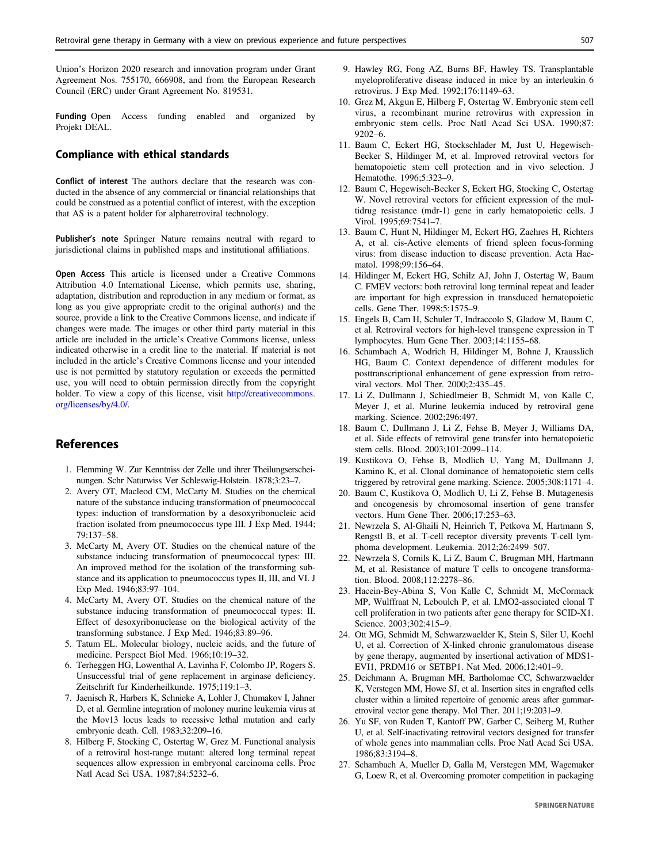<span id="page-13-0"></span>Union's Horizon 2020 research and innovation program under Grant Agreement Nos. 755170, 666908, and from the European Research Council (ERC) under Grant Agreement No. 819531.

Funding Open Access funding enabled and organized by Projekt DEAL.

#### Compliance with ethical standards

Conflict of interest The authors declare that the research was conducted in the absence of any commercial or financial relationships that could be construed as a potential conflict of interest, with the exception that AS is a patent holder for alpharetroviral technology.

Publisher's note Springer Nature remains neutral with regard to jurisdictional claims in published maps and institutional affiliations.

Open Access This article is licensed under a Creative Commons Attribution 4.0 International License, which permits use, sharing, adaptation, distribution and reproduction in any medium or format, as long as you give appropriate credit to the original author(s) and the source, provide a link to the Creative Commons license, and indicate if changes were made. The images or other third party material in this article are included in the article's Creative Commons license, unless indicated otherwise in a credit line to the material. If material is not included in the article's Creative Commons license and your intended use is not permitted by statutory regulation or exceeds the permitted use, you will need to obtain permission directly from the copyright holder. To view a copy of this license, visit [http://creativecommons.](http://creativecommons.org/licenses/by/4.0/) [org/licenses/by/4.0/.](http://creativecommons.org/licenses/by/4.0/)

## References

- 1. Flemming W. Zur Kenntniss der Zelle und ihrer Theilungserscheinungen. Schr Naturwiss Ver Schleswig-Holstein. 1878;3:23–7.
- 2. Avery OT, Macleod CM, McCarty M. Studies on the chemical nature of the substance inducing transformation of pneumococcal types: induction of transformation by a desoxyribonucleic acid fraction isolated from pneumococcus type III. J Exp Med. 1944; 79:137–58.
- 3. McCarty M, Avery OT. Studies on the chemical nature of the substance inducing transformation of pneumococcal types: III. An improved method for the isolation of the transforming substance and its application to pneumococcus types II, III, and VI. J Exp Med. 1946;83:97–104.
- 4. McCarty M, Avery OT. Studies on the chemical nature of the substance inducing transformation of pneumococcal types: II. Effect of desoxyribonuclease on the biological activity of the transforming substance. J Exp Med. 1946;83:89–96.
- 5. Tatum EL. Molecular biology, nucleic acids, and the future of medicine. Perspect Biol Med. 1966;10:19–32.
- 6. Terheggen HG, Lowenthal A, Lavinha F, Colombo JP, Rogers S. Unsuccessful trial of gene replacement in arginase deficiency. Zeitschrift fur Kinderheilkunde. 1975;119:1–3.
- 7. Jaenisch R, Harbers K, Schnieke A, Lohler J, Chumakov I, Jahner D, et al. Germline integration of moloney murine leukemia virus at the Mov13 locus leads to recessive lethal mutation and early embryonic death. Cell. 1983;32:209–16.
- 8. Hilberg F, Stocking C, Ostertag W, Grez M. Functional analysis of a retroviral host-range mutant: altered long terminal repeat sequences allow expression in embryonal carcinoma cells. Proc Natl Acad Sci USA. 1987;84:5232–6.
- 9. Hawley RG, Fong AZ, Burns BF, Hawley TS. Transplantable myeloproliferative disease induced in mice by an interleukin 6 retrovirus. J Exp Med. 1992;176:1149–63.
- 10. Grez M, Akgun E, Hilberg F, Ostertag W. Embryonic stem cell virus, a recombinant murine retrovirus with expression in embryonic stem cells. Proc Natl Acad Sci USA. 1990;87: 9202–6.
- 11. Baum C, Eckert HG, Stockschlader M, Just U, Hegewisch-Becker S, Hildinger M, et al. Improved retroviral vectors for hematopoietic stem cell protection and in vivo selection. J Hematothe. 1996;5:323–9.
- 12. Baum C, Hegewisch-Becker S, Eckert HG, Stocking C, Ostertag W. Novel retroviral vectors for efficient expression of the multidrug resistance (mdr-1) gene in early hematopoietic cells. J Virol. 1995;69:7541–7.
- 13. Baum C, Hunt N, Hildinger M, Eckert HG, Zaehres H, Richters A, et al. cis-Active elements of friend spleen focus-forming virus: from disease induction to disease prevention. Acta Haematol. 1998;99:156–64.
- 14. Hildinger M, Eckert HG, Schilz AJ, John J, Ostertag W, Baum C. FMEV vectors: both retroviral long terminal repeat and leader are important for high expression in transduced hematopoietic cells. Gene Ther. 1998;5:1575–9.
- 15. Engels B, Cam H, Schuler T, Indraccolo S, Gladow M, Baum C, et al. Retroviral vectors for high-level transgene expression in T lymphocytes. Hum Gene Ther. 2003;14:1155–68.
- 16. Schambach A, Wodrich H, Hildinger M, Bohne J, Krausslich HG, Baum C. Context dependence of different modules for posttranscriptional enhancement of gene expression from retroviral vectors. Mol Ther. 2000;2:435–45.
- 17. Li Z, Dullmann J, Schiedlmeier B, Schmidt M, von Kalle C, Meyer J, et al. Murine leukemia induced by retroviral gene marking. Science. 2002;296:497.
- 18. Baum C, Dullmann J, Li Z, Fehse B, Meyer J, Williams DA, et al. Side effects of retroviral gene transfer into hematopoietic stem cells. Blood. 2003;101:2099–114.
- 19. Kustikova O, Fehse B, Modlich U, Yang M, Dullmann J, Kamino K, et al. Clonal dominance of hematopoietic stem cells triggered by retroviral gene marking. Science. 2005;308:1171–4.
- 20. Baum C, Kustikova O, Modlich U, Li Z, Fehse B. Mutagenesis and oncogenesis by chromosomal insertion of gene transfer vectors. Hum Gene Ther. 2006;17:253–63.
- 21. Newrzela S, Al-Ghaili N, Heinrich T, Petkova M, Hartmann S, Rengstl B, et al. T-cell receptor diversity prevents T-cell lymphoma development. Leukemia. 2012;26:2499–507.
- 22. Newrzela S, Cornils K, Li Z, Baum C, Brugman MH, Hartmann M, et al. Resistance of mature T cells to oncogene transformation. Blood. 2008;112:2278–86.
- 23. Hacein-Bey-Abina S, Von Kalle C, Schmidt M, McCormack MP, Wulffraat N, Leboulch P, et al. LMO2-associated clonal T cell proliferation in two patients after gene therapy for SCID-X1. Science. 2003;302:415–9.
- 24. Ott MG, Schmidt M, Schwarzwaelder K, Stein S, Siler U, Koehl U, et al. Correction of X-linked chronic granulomatous disease by gene therapy, augmented by insertional activation of MDS1- EVI1, PRDM16 or SETBP1. Nat Med. 2006;12:401–9.
- 25. Deichmann A, Brugman MH, Bartholomae CC, Schwarzwaelder K, Verstegen MM, Howe SJ, et al. Insertion sites in engrafted cells cluster within a limited repertoire of genomic areas after gammaretroviral vector gene therapy. Mol Ther. 2011;19:2031–9.
- 26. Yu SF, von Ruden T, Kantoff PW, Garber C, Seiberg M, Ruther U, et al. Self-inactivating retroviral vectors designed for transfer of whole genes into mammalian cells. Proc Natl Acad Sci USA. 1986;83:3194–8.
- 27. Schambach A, Mueller D, Galla M, Verstegen MM, Wagemaker G, Loew R, et al. Overcoming promoter competition in packaging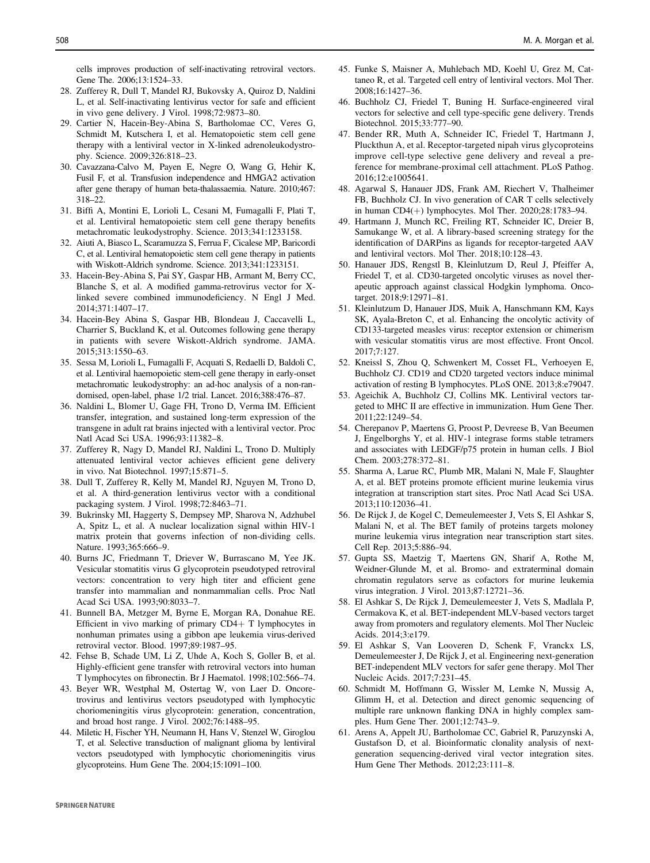<span id="page-14-0"></span>cells improves production of self-inactivating retroviral vectors. Gene The. 2006;13:1524–33.

- 28. Zufferey R, Dull T, Mandel RJ, Bukovsky A, Quiroz D, Naldini L, et al. Self-inactivating lentivirus vector for safe and efficient in vivo gene delivery. J Virol. 1998;72:9873–80.
- 29. Cartier N, Hacein-Bey-Abina S, Bartholomae CC, Veres G, Schmidt M, Kutschera I, et al. Hematopoietic stem cell gene therapy with a lentiviral vector in X-linked adrenoleukodystrophy. Science. 2009;326:818–23.
- 30. Cavazzana-Calvo M, Payen E, Negre O, Wang G, Hehir K, Fusil F, et al. Transfusion independence and HMGA2 activation after gene therapy of human beta-thalassaemia. Nature. 2010;467: 318–22.
- 31. Biffi A, Montini E, Lorioli L, Cesani M, Fumagalli F, Plati T, et al. Lentiviral hematopoietic stem cell gene therapy benefits metachromatic leukodystrophy. Science. 2013;341:1233158.
- 32. Aiuti A, Biasco L, Scaramuzza S, Ferrua F, Cicalese MP, Baricordi C, et al. Lentiviral hematopoietic stem cell gene therapy in patients with Wiskott-Aldrich syndrome. Science. 2013;341:1233151.
- 33. Hacein-Bey-Abina S, Pai SY, Gaspar HB, Armant M, Berry CC, Blanche S, et al. A modified gamma-retrovirus vector for Xlinked severe combined immunodeficiency. N Engl J Med. 2014;371:1407–17.
- 34. Hacein-Bey Abina S, Gaspar HB, Blondeau J, Caccavelli L, Charrier S, Buckland K, et al. Outcomes following gene therapy in patients with severe Wiskott-Aldrich syndrome. JAMA. 2015;313:1550–63.
- 35. Sessa M, Lorioli L, Fumagalli F, Acquati S, Redaelli D, Baldoli C, et al. Lentiviral haemopoietic stem-cell gene therapy in early-onset metachromatic leukodystrophy: an ad-hoc analysis of a non-randomised, open-label, phase 1/2 trial. Lancet. 2016;388:476–87.
- 36. Naldini L, Blomer U, Gage FH, Trono D, Verma IM. Efficient transfer, integration, and sustained long-term expression of the transgene in adult rat brains injected with a lentiviral vector. Proc Natl Acad Sci USA. 1996;93:11382–8.
- 37. Zufferey R, Nagy D, Mandel RJ, Naldini L, Trono D. Multiply attenuated lentiviral vector achieves efficient gene delivery in vivo. Nat Biotechnol. 1997;15:871–5.
- 38. Dull T, Zufferey R, Kelly M, Mandel RJ, Nguyen M, Trono D, et al. A third-generation lentivirus vector with a conditional packaging system. J Virol. 1998;72:8463–71.
- 39. Bukrinsky MI, Haggerty S, Dempsey MP, Sharova N, Adzhubel A, Spitz L, et al. A nuclear localization signal within HIV-1 matrix protein that governs infection of non-dividing cells. Nature. 1993;365:666-9.
- 40. Burns JC, Friedmann T, Driever W, Burrascano M, Yee JK. Vesicular stomatitis virus G glycoprotein pseudotyped retroviral vectors: concentration to very high titer and efficient gene transfer into mammalian and nonmammalian cells. Proc Natl Acad Sci USA. 1993;90:8033–7.
- 41. Bunnell BA, Metzger M, Byrne E, Morgan RA, Donahue RE. Efficient in vivo marking of primary CD4+ T lymphocytes in nonhuman primates using a gibbon ape leukemia virus-derived retroviral vector. Blood. 1997;89:1987–95.
- 42. Fehse B, Schade UM, Li Z, Uhde A, Koch S, Goller B, et al. Highly-efficient gene transfer with retroviral vectors into human T lymphocytes on fibronectin. Br J Haematol. 1998;102:566–74.
- 43. Beyer WR, Westphal M, Ostertag W, von Laer D. Oncoretrovirus and lentivirus vectors pseudotyped with lymphocytic choriomeningitis virus glycoprotein: generation, concentration, and broad host range. J Virol. 2002;76:1488–95.
- 44. Miletic H, Fischer YH, Neumann H, Hans V, Stenzel W, Giroglou T, et al. Selective transduction of malignant glioma by lentiviral vectors pseudotyped with lymphocytic choriomeningitis virus glycoproteins. Hum Gene The. 2004;15:1091–100.
- 45. Funke S, Maisner A, Muhlebach MD, Koehl U, Grez M, Cattaneo R, et al. Targeted cell entry of lentiviral vectors. Mol Ther. 2008;16:1427–36.
- 46. Buchholz CJ, Friedel T, Buning H. Surface-engineered viral vectors for selective and cell type-specific gene delivery. Trends Biotechnol. 2015;33:777–90.
- 47. Bender RR, Muth A, Schneider IC, Friedel T, Hartmann J, Pluckthun A, et al. Receptor-targeted nipah virus glycoproteins improve cell-type selective gene delivery and reveal a preference for membrane-proximal cell attachment. PLoS Pathog. 2016;12:e1005641.
- 48. Agarwal S, Hanauer JDS, Frank AM, Riechert V, Thalheimer FB, Buchholz CJ. In vivo generation of CAR T cells selectively in human  $CD4(+)$  lymphocytes. Mol Ther. 2020;28:1783–94.
- 49. Hartmann J, Munch RC, Freiling RT, Schneider IC, Dreier B, Samukange W, et al. A library-based screening strategy for the identification of DARPins as ligands for receptor-targeted AAV and lentiviral vectors. Mol Ther. 2018;10:128–43.
- 50. Hanauer JDS, Rengstl B, Kleinlutzum D, Reul J, Pfeiffer A, Friedel T, et al. CD30-targeted oncolytic viruses as novel therapeutic approach against classical Hodgkin lymphoma. Oncotarget. 2018;9:12971–81.
- 51. Kleinlutzum D, Hanauer JDS, Muik A, Hanschmann KM, Kays SK, Ayala-Breton C, et al. Enhancing the oncolytic activity of CD133-targeted measles virus: receptor extension or chimerism with vesicular stomatitis virus are most effective. Front Oncol. 2017;7:127.
- 52. Kneissl S, Zhou Q, Schwenkert M, Cosset FL, Verhoeyen E, Buchholz CJ. CD19 and CD20 targeted vectors induce minimal activation of resting B lymphocytes. PLoS ONE. 2013;8:e79047.
- 53. Ageichik A, Buchholz CJ, Collins MK. Lentiviral vectors targeted to MHC II are effective in immunization. Hum Gene Ther. 2011;22:1249–54.
- 54. Cherepanov P, Maertens G, Proost P, Devreese B, Van Beeumen J, Engelborghs Y, et al. HIV-1 integrase forms stable tetramers and associates with LEDGF/p75 protein in human cells. J Biol Chem. 2003;278:372–81.
- 55. Sharma A, Larue RC, Plumb MR, Malani N, Male F, Slaughter A, et al. BET proteins promote efficient murine leukemia virus integration at transcription start sites. Proc Natl Acad Sci USA. 2013;110:12036–41.
- 56. De Rijck J, de Kogel C, Demeulemeester J, Vets S, El Ashkar S, Malani N, et al. The BET family of proteins targets moloney murine leukemia virus integration near transcription start sites. Cell Rep. 2013;5:886–94.
- 57. Gupta SS, Maetzig T, Maertens GN, Sharif A, Rothe M, Weidner-Glunde M, et al. Bromo- and extraterminal domain chromatin regulators serve as cofactors for murine leukemia virus integration. J Virol. 2013;87:12721–36.
- 58. El Ashkar S, De Rijck J, Demeulemeester J, Vets S, Madlala P, Cermakova K, et al. BET-independent MLV-based vectors target away from promoters and regulatory elements. Mol Ther Nucleic Acids. 2014;3:e179.
- 59. El Ashkar S, Van Looveren D, Schenk F, Vranckx LS, Demeulemeester J, De Rijck J, et al. Engineering next-generation BET-independent MLV vectors for safer gene therapy. Mol Ther Nucleic Acids. 2017;7:231–45.
- 60. Schmidt M, Hoffmann G, Wissler M, Lemke N, Mussig A, Glimm H, et al. Detection and direct genomic sequencing of multiple rare unknown flanking DNA in highly complex samples. Hum Gene Ther. 2001;12:743–9.
- 61. Arens A, Appelt JU, Bartholomae CC, Gabriel R, Paruzynski A, Gustafson D, et al. Bioinformatic clonality analysis of nextgeneration sequencing-derived viral vector integration sites. Hum Gene Ther Methods. 2012;23:111–8.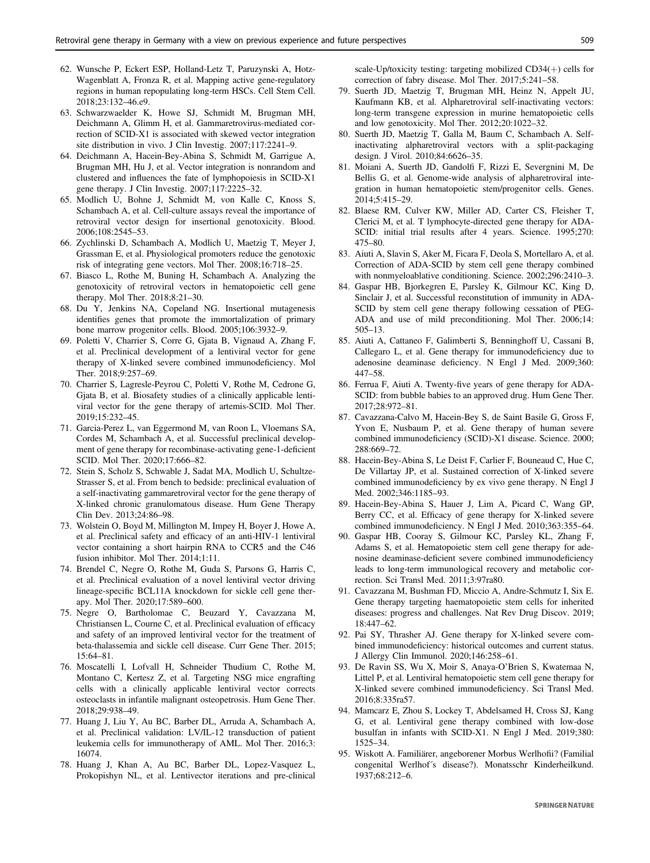- <span id="page-15-0"></span>62. Wunsche P, Eckert ESP, Holland-Letz T, Paruzynski A, Hotz-Wagenblatt A, Fronza R, et al. Mapping active gene-regulatory regions in human repopulating long-term HSCs. Cell Stem Cell. 2018;23:132–46.e9.
- 63. Schwarzwaelder K, Howe SJ, Schmidt M, Brugman MH, Deichmann A, Glimm H, et al. Gammaretrovirus-mediated correction of SCID-X1 is associated with skewed vector integration site distribution in vivo. J Clin Investig. 2007;117:2241–9.
- 64. Deichmann A, Hacein-Bey-Abina S, Schmidt M, Garrigue A, Brugman MH, Hu J, et al. Vector integration is nonrandom and clustered and influences the fate of lymphopoiesis in SCID-X1 gene therapy. J Clin Investig. 2007;117:2225–32.
- 65. Modlich U, Bohne J, Schmidt M, von Kalle C, Knoss S, Schambach A, et al. Cell-culture assays reveal the importance of retroviral vector design for insertional genotoxicity. Blood. 2006;108:2545–53.
- 66. Zychlinski D, Schambach A, Modlich U, Maetzig T, Meyer J, Grassman E, et al. Physiological promoters reduce the genotoxic risk of integrating gene vectors. Mol Ther. 2008;16:718–25.
- 67. Biasco L, Rothe M, Buning H, Schambach A. Analyzing the genotoxicity of retroviral vectors in hematopoietic cell gene therapy. Mol Ther. 2018;8:21–30.
- 68. Du Y, Jenkins NA, Copeland NG. Insertional mutagenesis identifies genes that promote the immortalization of primary bone marrow progenitor cells. Blood. 2005;106:3932–9.
- 69. Poletti V, Charrier S, Corre G, Gjata B, Vignaud A, Zhang F, et al. Preclinical development of a lentiviral vector for gene therapy of X-linked severe combined immunodeficiency. Mol Ther. 2018;9:257–69.
- 70. Charrier S, Lagresle-Peyrou C, Poletti V, Rothe M, Cedrone G, Gjata B, et al. Biosafety studies of a clinically applicable lentiviral vector for the gene therapy of artemis-SCID. Mol Ther. 2019;15:232–45.
- 71. Garcia-Perez L, van Eggermond M, van Roon L, Vloemans SA, Cordes M, Schambach A, et al. Successful preclinical development of gene therapy for recombinase-activating gene-1-deficient SCID. Mol Ther. 2020;17:666–82.
- 72. Stein S, Scholz S, Schwable J, Sadat MA, Modlich U, Schultze-Strasser S, et al. From bench to bedside: preclinical evaluation of a self-inactivating gammaretroviral vector for the gene therapy of X-linked chronic granulomatous disease. Hum Gene Therapy Clin Dev. 2013;24:86–98.
- 73. Wolstein O, Boyd M, Millington M, Impey H, Boyer J, Howe A, et al. Preclinical safety and efficacy of an anti-HIV-1 lentiviral vector containing a short hairpin RNA to CCR5 and the C46 fusion inhibitor. Mol Ther. 2014;1:11.
- 74. Brendel C, Negre O, Rothe M, Guda S, Parsons G, Harris C, et al. Preclinical evaluation of a novel lentiviral vector driving lineage-specific BCL11A knockdown for sickle cell gene therapy. Mol Ther. 2020;17:589–600.
- 75. Negre O, Bartholomae C, Beuzard Y, Cavazzana M, Christiansen L, Courne C, et al. Preclinical evaluation of efficacy and safety of an improved lentiviral vector for the treatment of beta-thalassemia and sickle cell disease. Curr Gene Ther. 2015; 15:64–81.
- 76. Moscatelli I, Lofvall H, Schneider Thudium C, Rothe M, Montano C, Kertesz Z, et al. Targeting NSG mice engrafting cells with a clinically applicable lentiviral vector corrects osteoclasts in infantile malignant osteopetrosis. Hum Gene Ther. 2018;29:938–49.
- 77. Huang J, Liu Y, Au BC, Barber DL, Arruda A, Schambach A, et al. Preclinical validation: LV/IL-12 transduction of patient leukemia cells for immunotherapy of AML. Mol Ther. 2016;3: 16074.
- 78. Huang J, Khan A, Au BC, Barber DL, Lopez-Vasquez L, Prokopishyn NL, et al. Lentivector iterations and pre-clinical

scale-Up/toxicity testing: targeting mobilized  $CD34(+)$  cells for correction of fabry disease. Mol Ther. 2017;5:241–58.

- 79. Suerth JD, Maetzig T, Brugman MH, Heinz N, Appelt JU, Kaufmann KB, et al. Alpharetroviral self-inactivating vectors: long-term transgene expression in murine hematopoietic cells and low genotoxicity. Mol Ther. 2012;20:1022–32.
- 80. Suerth JD, Maetzig T, Galla M, Baum C, Schambach A. Selfinactivating alpharetroviral vectors with a split-packaging design. J Virol. 2010;84:6626–35.
- 81. Moiani A, Suerth JD, Gandolfi F, Rizzi E, Severgnini M, De Bellis G, et al. Genome-wide analysis of alpharetroviral integration in human hematopoietic stem/progenitor cells. Genes. 2014;5:415–29.
- 82. Blaese RM, Culver KW, Miller AD, Carter CS, Fleisher T, Clerici M, et al. T lymphocyte-directed gene therapy for ADA-SCID: initial trial results after 4 years. Science. 1995;270: 475–80.
- 83. Aiuti A, Slavin S, Aker M, Ficara F, Deola S, Mortellaro A, et al. Correction of ADA-SCID by stem cell gene therapy combined with nonmyeloablative conditioning. Science. 2002;296:2410–3.
- 84. Gaspar HB, Bjorkegren E, Parsley K, Gilmour KC, King D, Sinclair J, et al. Successful reconstitution of immunity in ADA-SCID by stem cell gene therapy following cessation of PEG-ADA and use of mild preconditioning. Mol Ther. 2006;14: 505–13.
- 85. Aiuti A, Cattaneo F, Galimberti S, Benninghoff U, Cassani B, Callegaro L, et al. Gene therapy for immunodeficiency due to adenosine deaminase deficiency. N Engl J Med. 2009;360: 447–58.
- 86. Ferrua F, Aiuti A. Twenty-five years of gene therapy for ADA-SCID: from bubble babies to an approved drug. Hum Gene Ther. 2017;28:972–81.
- 87. Cavazzana-Calvo M, Hacein-Bey S, de Saint Basile G, Gross F, Yvon E, Nusbaum P, et al. Gene therapy of human severe combined immunodeficiency (SCID)-X1 disease. Science. 2000; 288:669–72.
- 88. Hacein-Bey-Abina S, Le Deist F, Carlier F, Bouneaud C, Hue C, De Villartay JP, et al. Sustained correction of X-linked severe combined immunodeficiency by ex vivo gene therapy. N Engl J Med. 2002;346:1185–93.
- 89. Hacein-Bey-Abina S, Hauer J, Lim A, Picard C, Wang GP, Berry CC, et al. Efficacy of gene therapy for X-linked severe combined immunodeficiency. N Engl J Med. 2010;363:355–64.
- 90. Gaspar HB, Cooray S, Gilmour KC, Parsley KL, Zhang F, Adams S, et al. Hematopoietic stem cell gene therapy for adenosine deaminase-deficient severe combined immunodeficiency leads to long-term immunological recovery and metabolic correction. Sci Transl Med. 2011;3:97ra80.
- 91. Cavazzana M, Bushman FD, Miccio A, Andre-Schmutz I, Six E. Gene therapy targeting haematopoietic stem cells for inherited diseases: progress and challenges. Nat Rev Drug Discov. 2019; 18:447–62.
- 92. Pai SY, Thrasher AJ. Gene therapy for X-linked severe combined immunodeficiency: historical outcomes and current status. J Allergy Clin Immunol. 2020;146:258–61.
- 93. De Ravin SS, Wu X, Moir S, Anaya-O'Brien S, Kwatemaa N, Littel P, et al. Lentiviral hematopoietic stem cell gene therapy for X-linked severe combined immunodeficiency. Sci Transl Med. 2016;8:335ra57.
- 94. Mamcarz E, Zhou S, Lockey T, Abdelsamed H, Cross SJ, Kang G, et al. Lentiviral gene therapy combined with low-dose busulfan in infants with SCID-X1. N Engl J Med. 2019;380: 1525–34.
- 95. Wiskott A. Familiärer, angeborener Morbus Werlhofii? (Familial congenital Werlhof´s disease?). Monatsschr Kinderheilkund. 1937;68:212–6.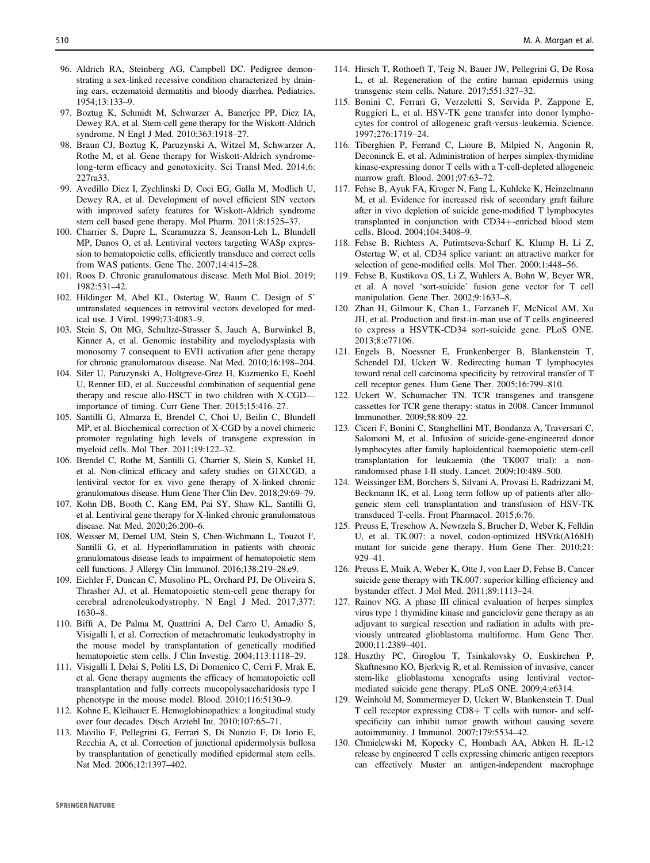- <span id="page-16-0"></span>96. Aldrich RA, Steinberg AG, Campbell DC. Pedigree demonstrating a sex-linked recessive condition characterized by draining ears, eczematoid dermatitis and bloody diarrhea. Pediatrics. 1954;13:133–9.
- 97. Boztug K, Schmidt M, Schwarzer A, Banerjee PP, Diez IA, Dewey RA, et al. Stem-cell gene therapy for the Wiskott-Aldrich syndrome. N Engl J Med. 2010;363:1918–27.
- 98. Braun CJ, Boztug K, Paruzynski A, Witzel M, Schwarzer A, Rothe M, et al. Gene therapy for Wiskott-Aldrich syndromelong-term efficacy and genotoxicity. Sci Transl Med. 2014;6: 227ra33.
- 99. Avedillo Diez I, Zychlinski D, Coci EG, Galla M, Modlich U, Dewey RA, et al. Development of novel efficient SIN vectors with improved safety features for Wiskott-Aldrich syndrome stem cell based gene therapy. Mol Pharm. 2011;8:1525–37.
- 100. Charrier S, Dupre L, Scaramuzza S, Jeanson-Leh L, Blundell MP, Danos O, et al. Lentiviral vectors targeting WASp expression to hematopoietic cells, efficiently transduce and correct cells from WAS patients. Gene The. 2007;14:415–28.
- 101. Roos D. Chronic granulomatous disease. Meth Mol Biol. 2019; 1982:531–42.
- 102. Hildinger M, Abel KL, Ostertag W, Baum C. Design of 5' untranslated sequences in retroviral vectors developed for medical use. J Virol. 1999;73:4083–9.
- 103. Stein S, Ott MG, Schultze-Strasser S, Jauch A, Burwinkel B, Kinner A, et al. Genomic instability and myelodysplasia with monosomy 7 consequent to EVI1 activation after gene therapy for chronic granulomatous disease. Nat Med. 2010;16:198–204.
- 104. Siler U, Paruzynski A, Holtgreve-Grez H, Kuzmenko E, Koehl U, Renner ED, et al. Successful combination of sequential gene therapy and rescue allo-HSCT in two children with X-CGD importance of timing. Curr Gene Ther. 2015;15:416–27.
- 105. Santilli G, Almarza E, Brendel C, Choi U, Beilin C, Blundell MP, et al. Biochemical correction of X-CGD by a novel chimeric promoter regulating high levels of transgene expression in myeloid cells. Mol Ther. 2011;19:122–32.
- 106. Brendel C, Rothe M, Santilli G, Charrier S, Stein S, Kunkel H, et al. Non-clinical efficacy and safety studies on G1XCGD, a lentiviral vector for ex vivo gene therapy of X-linked chronic granulomatous disease. Hum Gene Ther Clin Dev. 2018;29:69–79.
- 107. Kohn DB, Booth C, Kang EM, Pai SY, Shaw KL, Santilli G, et al. Lentiviral gene therapy for X-linked chronic granulomatous disease. Nat Med. 2020;26:200–6.
- 108. Weisser M, Demel UM, Stein S, Chen-Wichmann L, Touzot F, Santilli G, et al. Hyperinflammation in patients with chronic granulomatous disease leads to impairment of hematopoietic stem cell functions. J Allergy Clin Immunol. 2016;138:219–28.e9.
- 109. Eichler F, Duncan C, Musolino PL, Orchard PJ, De Oliveira S, Thrasher AJ, et al. Hematopoietic stem-cell gene therapy for cerebral adrenoleukodystrophy. N Engl J Med. 2017;377: 1630–8.
- 110. Biffi A, De Palma M, Quattrini A, Del Carro U, Amadio S, Visigalli I, et al. Correction of metachromatic leukodystrophy in the mouse model by transplantation of genetically modified hematopoietic stem cells. J Clin Investig. 2004;113:1118-29.
- 111. Visigalli I, Delai S, Politi LS, Di Domenico C, Cerri F, Mrak E, et al. Gene therapy augments the efficacy of hematopoietic cell transplantation and fully corrects mucopolysaccharidosis type I phenotype in the mouse model. Blood. 2010;116:5130–9.
- 112. Kohne E, Kleihauer E. Hemoglobinopathies: a longitudinal study over four decades. Dtsch Arztebl Int. 2010;107:65–71.
- 113. Mavilio F, Pellegrini G, Ferrari S, Di Nunzio F, Di Iorio E, Recchia A, et al. Correction of junctional epidermolysis bullosa by transplantation of genetically modified epidermal stem cells. Nat Med. 2006;12:1397–402.
- 114. Hirsch T, Rothoeft T, Teig N, Bauer JW, Pellegrini G, De Rosa L, et al. Regeneration of the entire human epidermis using transgenic stem cells. Nature. 2017;551:327–32.
- 115. Bonini C, Ferrari G, Verzeletti S, Servida P, Zappone E, Ruggieri L, et al. HSV-TK gene transfer into donor lymphocytes for control of allogeneic graft-versus-leukemia. Science. 1997;276:1719–24.
- 116. Tiberghien P, Ferrand C, Lioure B, Milpied N, Angonin R, Deconinck E, et al. Administration of herpes simplex-thymidine kinase-expressing donor T cells with a T-cell-depleted allogeneic marrow graft. Blood. 2001;97:63–72.
- 117. Fehse B, Ayuk FA, Kroger N, Fang L, Kuhlcke K, Heinzelmann M, et al. Evidence for increased risk of secondary graft failure after in vivo depletion of suicide gene-modified T lymphocytes transplanted in conjunction with CD34+-enriched blood stem cells. Blood. 2004;104:3408–9.
- 118. Fehse B, Richters A, Putimtseva-Scharf K, Klump H, Li Z, Ostertag W, et al. CD34 splice variant: an attractive marker for selection of gene-modified cells. Mol Ther. 2000;1:448–56.
- 119. Fehse B, Kustikova OS, Li Z, Wahlers A, Bohn W, Beyer WR, et al. A novel 'sort-suicide' fusion gene vector for T cell manipulation. Gene Ther. 2002;9:1633–8.
- 120. Zhan H, Gilmour K, Chan L, Farzaneh F, McNicol AM, Xu JH, et al. Production and first-in-man use of T cells engineered to express a HSVTK-CD34 sort-suicide gene. PLoS ONE. 2013;8:e77106.
- 121. Engels B, Noessner E, Frankenberger B, Blankenstein T, Schendel DJ, Uckert W. Redirecting human T lymphocytes toward renal cell carcinoma specificity by retroviral transfer of T cell receptor genes. Hum Gene Ther. 2005;16:799–810.
- 122. Uckert W, Schumacher TN. TCR transgenes and transgene cassettes for TCR gene therapy: status in 2008. Cancer Immunol Immunother. 2009;58:809–22.
- 123. Ciceri F, Bonini C, Stanghellini MT, Bondanza A, Traversari C, Salomoni M, et al. Infusion of suicide-gene-engineered donor lymphocytes after family haploidentical haemopoietic stem-cell transplantation for leukaemia (the TK007 trial): a nonrandomised phase I-II study. Lancet. 2009;10:489–500.
- 124. Weissinger EM, Borchers S, Silvani A, Provasi E, Radrizzani M, Beckmann IK, et al. Long term follow up of patients after allogeneic stem cell transplantation and transfusion of HSV-TK transduced T-cells. Front Pharmacol. 2015;6:76.
- 125. Preuss E, Treschow A, Newrzela S, Brucher D, Weber K, Felldin U, et al. TK.007: a novel, codon-optimized HSVtk(A168H) mutant for suicide gene therapy. Hum Gene Ther. 2010;21: 929–41.
- 126. Preuss E, Muik A, Weber K, Otte J, von Laer D, Fehse B. Cancer suicide gene therapy with TK.007: superior killing efficiency and bystander effect. J Mol Med. 2011;89:1113–24.
- 127. Rainov NG. A phase III clinical evaluation of herpes simplex virus type 1 thymidine kinase and ganciclovir gene therapy as an adjuvant to surgical resection and radiation in adults with previously untreated glioblastoma multiforme. Hum Gene Ther. 2000;11:2389–401.
- 128. Huszthy PC, Giroglou T, Tsinkalovsky O, Euskirchen P, Skaftnesmo KO, Bjerkvig R, et al. Remission of invasive, cancer stem-like glioblastoma xenografts using lentiviral vectormediated suicide gene therapy. PLoS ONE. 2009;4:e6314.
- 129. Weinhold M, Sommermeyer D, Uckert W, Blankenstein T. Dual T cell receptor expressing CD8+ T cells with tumor- and selfspecificity can inhibit tumor growth without causing severe autoimmunity. J Immunol. 2007;179:5534–42.
- 130. Chmielewski M, Kopecky C, Hombach AA, Abken H. IL-12 release by engineered T cells expressing chimeric antigen receptors can effectively Muster an antigen-independent macrophage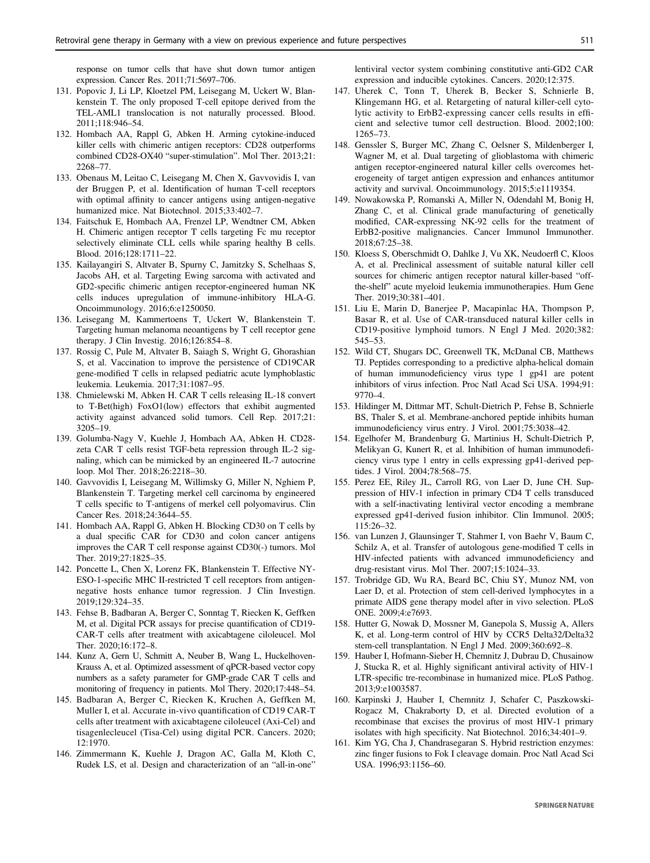<span id="page-17-0"></span>response on tumor cells that have shut down tumor antigen expression. Cancer Res. 2011;71:5697–706.

- 131. Popovic J, Li LP, Kloetzel PM, Leisegang M, Uckert W, Blankenstein T. The only proposed T-cell epitope derived from the TEL-AML1 translocation is not naturally processed. Blood. 2011;118:946–54.
- 132. Hombach AA, Rappl G, Abken H. Arming cytokine-induced killer cells with chimeric antigen receptors: CD28 outperforms combined CD28-OX40 "super-stimulation". Mol Ther. 2013;21: 2268–77.
- 133. Obenaus M, Leitao C, Leisegang M, Chen X, Gavvovidis I, van der Bruggen P, et al. Identification of human T-cell receptors with optimal affinity to cancer antigens using antigen-negative humanized mice. Nat Biotechnol. 2015;33:402–7.
- 134. Faitschuk E, Hombach AA, Frenzel LP, Wendtner CM, Abken H. Chimeric antigen receptor T cells targeting Fc mu receptor selectively eliminate CLL cells while sparing healthy B cells. Blood. 2016;128:1711–22.
- 135. Kailayangiri S, Altvater B, Spurny C, Jamitzky S, Schelhaas S, Jacobs AH, et al. Targeting Ewing sarcoma with activated and GD2-specific chimeric antigen receptor-engineered human NK cells induces upregulation of immune-inhibitory HLA-G. Oncoimmunology. 2016;6:e1250050.
- 136. Leisegang M, Kammertoens T, Uckert W, Blankenstein T. Targeting human melanoma neoantigens by T cell receptor gene therapy. J Clin Investig. 2016;126:854–8.
- 137. Rossig C, Pule M, Altvater B, Saiagh S, Wright G, Ghorashian S, et al. Vaccination to improve the persistence of CD19CAR gene-modified T cells in relapsed pediatric acute lymphoblastic leukemia. Leukemia. 2017;31:1087–95.
- 138. Chmielewski M, Abken H. CAR T cells releasing IL-18 convert to T-Bet(high) FoxO1(low) effectors that exhibit augmented activity against advanced solid tumors. Cell Rep. 2017;21: 3205–19.
- 139. Golumba-Nagy V, Kuehle J, Hombach AA, Abken H. CD28 zeta CAR T cells resist TGF-beta repression through IL-2 signaling, which can be mimicked by an engineered IL-7 autocrine loop. Mol Ther. 2018;26:2218–30.
- 140. Gavvovidis I, Leisegang M, Willimsky G, Miller N, Nghiem P, Blankenstein T. Targeting merkel cell carcinoma by engineered T cells specific to T-antigens of merkel cell polyomavirus. Clin Cancer Res. 2018;24:3644–55.
- 141. Hombach AA, Rappl G, Abken H. Blocking CD30 on T cells by a dual specific CAR for CD30 and colon cancer antigens improves the CAR T cell response against CD30(-) tumors. Mol Ther. 2019;27:1825–35.
- 142. Poncette L, Chen X, Lorenz FK, Blankenstein T. Effective NY-ESO-1-specific MHC II-restricted T cell receptors from antigennegative hosts enhance tumor regression. J Clin Investign. 2019;129:324–35.
- 143. Fehse B, Badbaran A, Berger C, Sonntag T, Riecken K, Geffken M, et al. Digital PCR assays for precise quantification of CD19- CAR-T cells after treatment with axicabtagene ciloleucel. Mol Ther. 2020;16:172–8.
- 144. Kunz A, Gern U, Schmitt A, Neuber B, Wang L, Huckelhoven-Krauss A, et al. Optimized assessment of qPCR-based vector copy numbers as a safety parameter for GMP-grade CAR T cells and monitoring of frequency in patients. Mol Thery. 2020;17:448–54.
- 145. Badbaran A, Berger C, Riecken K, Kruchen A, Geffken M, Muller I, et al. Accurate in-vivo quantification of CD19 CAR-T cells after treatment with axicabtagene ciloleucel (Axi-Cel) and tisagenlecleucel (Tisa-Cel) using digital PCR. Cancers. 2020; 12:1970.
- 146. Zimmermann K, Kuehle J, Dragon AC, Galla M, Kloth C, Rudek LS, et al. Design and characterization of an "all-in-one"

lentiviral vector system combining constitutive anti-GD2 CAR expression and inducible cytokines. Cancers. 2020;12:375.

- 147. Uherek C, Tonn T, Uherek B, Becker S, Schnierle B, Klingemann HG, et al. Retargeting of natural killer-cell cytolytic activity to ErbB2-expressing cancer cells results in efficient and selective tumor cell destruction. Blood. 2002;100: 1265–73.
- 148. Genssler S, Burger MC, Zhang C, Oelsner S, Mildenberger I, Wagner M, et al. Dual targeting of glioblastoma with chimeric antigen receptor-engineered natural killer cells overcomes heterogeneity of target antigen expression and enhances antitumor activity and survival. Oncoimmunology. 2015;5:e1119354.
- 149. Nowakowska P, Romanski A, Miller N, Odendahl M, Bonig H, Zhang C, et al. Clinical grade manufacturing of genetically modified, CAR-expressing NK-92 cells for the treatment of ErbB2-positive malignancies. Cancer Immunol Immunother. 2018;67:25–38.
- 150. Kloess S, Oberschmidt O, Dahlke J, Vu XK, Neudoerfl C, Kloos A, et al. Preclinical assessment of suitable natural killer cell sources for chimeric antigen receptor natural killer-based "offthe-shelf" acute myeloid leukemia immunotherapies. Hum Gene Ther. 2019;30:381–401.
- 151. Liu E, Marin D, Banerjee P, Macapinlac HA, Thompson P, Basar R, et al. Use of CAR-transduced natural killer cells in CD19-positive lymphoid tumors. N Engl J Med. 2020;382: 545–53.
- 152. Wild CT, Shugars DC, Greenwell TK, McDanal CB, Matthews TJ. Peptides corresponding to a predictive alpha-helical domain of human immunodeficiency virus type 1 gp41 are potent inhibitors of virus infection. Proc Natl Acad Sci USA. 1994;91: 9770–4.
- 153. Hildinger M, Dittmar MT, Schult-Dietrich P, Fehse B, Schnierle BS, Thaler S, et al. Membrane-anchored peptide inhibits human immunodeficiency virus entry. J Virol. 2001;75:3038–42.
- 154. Egelhofer M, Brandenburg G, Martinius H, Schult-Dietrich P, Melikyan G, Kunert R, et al. Inhibition of human immunodeficiency virus type 1 entry in cells expressing gp41-derived peptides. J Virol. 2004;78:568–75.
- 155. Perez EE, Riley JL, Carroll RG, von Laer D, June CH. Suppression of HIV-1 infection in primary CD4 T cells transduced with a self-inactivating lentiviral vector encoding a membrane expressed gp41-derived fusion inhibitor. Clin Immunol. 2005; 115:26–32.
- 156. van Lunzen J, Glaunsinger T, Stahmer I, von Baehr V, Baum C, Schilz A, et al. Transfer of autologous gene-modified T cells in HIV-infected patients with advanced immunodeficiency and drug-resistant virus. Mol Ther. 2007;15:1024–33.
- 157. Trobridge GD, Wu RA, Beard BC, Chiu SY, Munoz NM, von Laer D, et al. Protection of stem cell-derived lymphocytes in a primate AIDS gene therapy model after in vivo selection. PLoS ONE. 2009;4:e7693.
- 158. Hutter G, Nowak D, Mossner M, Ganepola S, Mussig A, Allers K, et al. Long-term control of HIV by CCR5 Delta32/Delta32 stem-cell transplantation. N Engl J Med. 2009;360:692–8.
- 159. Hauber I, Hofmann-Sieber H, Chemnitz J, Dubrau D, Chusainow J, Stucka R, et al. Highly significant antiviral activity of HIV-1 LTR-specific tre-recombinase in humanized mice. PLoS Pathog. 2013;9:e1003587.
- 160. Karpinski J, Hauber I, Chemnitz J, Schafer C, Paszkowski-Rogacz M, Chakraborty D, et al. Directed evolution of a recombinase that excises the provirus of most HIV-1 primary isolates with high specificity. Nat Biotechnol. 2016;34:401–9.
- 161. Kim YG, Cha J, Chandrasegaran S. Hybrid restriction enzymes: zinc finger fusions to Fok I cleavage domain. Proc Natl Acad Sci USA. 1996;93:1156–60.